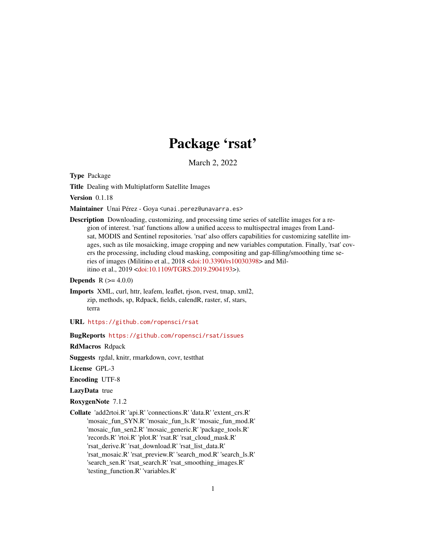# Package 'rsat'

March 2, 2022

Type Package

Title Dealing with Multiplatform Satellite Images

Version 0.1.18

Maintainer Unai Pérez - Goya <unai.perez@unavarra.es>

Description Downloading, customizing, and processing time series of satellite images for a region of interest. 'rsat' functions allow a unified access to multispectral images from Landsat, MODIS and Sentinel repositories. 'rsat' also offers capabilities for customizing satellite images, such as tile mosaicking, image cropping and new variables computation. Finally, 'rsat' covers the processing, including cloud masking, compositing and gap-filling/smoothing time series of images (Militino et al., 2018 [<doi:10.3390/rs10030398>](https://doi.org/10.3390/rs10030398) and Militino et al., 2019 [<doi:10.1109/TGRS.2019.2904193>](https://doi.org/10.1109/TGRS.2019.2904193)).

### **Depends** R  $(>= 4.0.0)$

- Imports XML, curl, httr, leafem, leaflet, rjson, rvest, tmap, xml2, zip, methods, sp, Rdpack, fields, calendR, raster, sf, stars, terra
- URL <https://github.com/ropensci/rsat>

#### BugReports <https://github.com/ropensci/rsat/issues>

RdMacros Rdpack

Suggests rgdal, knitr, rmarkdown, covr, testthat

License GPL-3

Encoding UTF-8

LazyData true

RoxygenNote 7.1.2

Collate 'add2rtoi.R' 'api.R' 'connections.R' 'data.R' 'extent\_crs.R' 'mosaic\_fun\_SYN.R' 'mosaic\_fun\_ls.R' 'mosaic\_fun\_mod.R' 'mosaic\_fun\_sen2.R' 'mosaic\_generic.R' 'package\_tools.R' 'records.R' 'rtoi.R' 'plot.R' 'rsat.R' 'rsat\_cloud\_mask.R' 'rsat\_derive.R' 'rsat\_download.R' 'rsat\_list\_data.R' 'rsat\_mosaic.R' 'rsat\_preview.R' 'search\_mod.R' 'search\_ls.R' 'search\_sen.R' 'rsat\_search.R' 'rsat\_smoothing\_images.R' 'testing\_function.R' 'variables.R'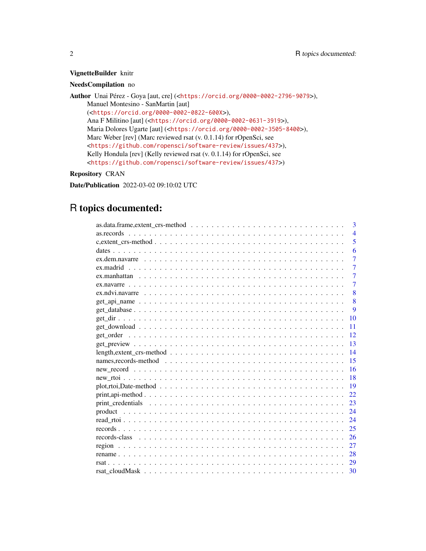### VignetteBuilder knitr

### NeedsCompilation no

Author Unai Pérez - Goya [aut, cre] (<<https://orcid.org/0000-0002-2796-9079>>), Manuel Montesino - SanMartin [aut] (<<https://orcid.org/0000-0002-0822-600X>>), Ana F Militino [aut] (<<https://orcid.org/0000-0002-0631-3919>>), Maria Dolores Ugarte [aut] (<<https://orcid.org/0000-0002-3505-8400>>), Marc Weber [rev] (Marc reviewed rsat (v. 0.1.14) for rOpenSci, see <<https://github.com/ropensci/software-review/issues/437>>), Kelly Hondula [rev] (Kelly reviewed rsat (v. 0.1.14) for rOpenSci, see <<https://github.com/ropensci/software-review/issues/437>>)

### Repository CRAN

Date/Publication 2022-03-02 09:10:02 UTC

## R topics documented:

|                                                                                                                           | 3              |
|---------------------------------------------------------------------------------------------------------------------------|----------------|
|                                                                                                                           | $\overline{4}$ |
|                                                                                                                           | 5              |
|                                                                                                                           | 6              |
|                                                                                                                           | $\overline{7}$ |
|                                                                                                                           | $\overline{7}$ |
|                                                                                                                           | $\overline{7}$ |
|                                                                                                                           | $\overline{7}$ |
|                                                                                                                           | 8              |
|                                                                                                                           | $\overline{8}$ |
|                                                                                                                           | 9              |
| 10                                                                                                                        |                |
| 11                                                                                                                        |                |
| 12                                                                                                                        |                |
| 13                                                                                                                        |                |
| 14                                                                                                                        |                |
| 15                                                                                                                        |                |
|                                                                                                                           |                |
| 16                                                                                                                        |                |
| 18                                                                                                                        |                |
| 19<br>$plot, rtoi, Date-method \dots \dots \dots \dots \dots \dots \dots \dots \dots \dots \dots \dots \dots \dots \dots$ |                |
| 22                                                                                                                        |                |
| 23                                                                                                                        |                |
| 24                                                                                                                        |                |
| 24                                                                                                                        |                |
| 25                                                                                                                        |                |
| 26                                                                                                                        |                |
| 27                                                                                                                        |                |
| 28                                                                                                                        |                |
| 29<br>rsat.                                                                                                               |                |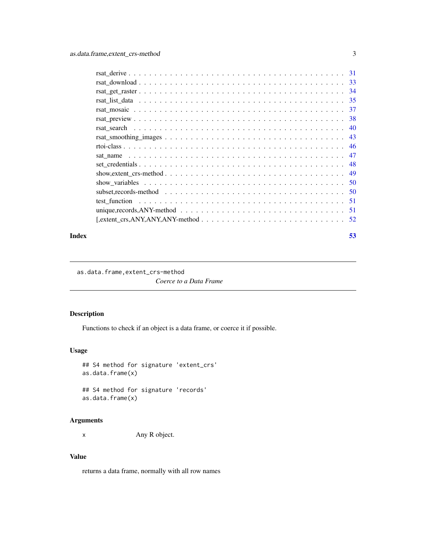<span id="page-2-0"></span>

| -48                                                                                                                      |
|--------------------------------------------------------------------------------------------------------------------------|
| show, extent_crs-method $\ldots \ldots \ldots \ldots \ldots \ldots \ldots \ldots \ldots \ldots \ldots \ldots \ldots$     |
|                                                                                                                          |
|                                                                                                                          |
|                                                                                                                          |
| unique, records, ANY-method $\ldots \ldots \ldots \ldots \ldots \ldots \ldots \ldots \ldots \ldots \ldots \ldots \ldots$ |
|                                                                                                                          |

#### **Index** [53](#page-52-0)

as.data.frame,extent\_crs-method

*Coerce to a Data Frame*

### Description

Functions to check if an object is a data frame, or coerce it if possible.

### Usage

```
## S4 method for signature 'extent_crs'
as.data.frame(x)
```
## S4 method for signature 'records' as.data.frame(x)

### Arguments

x Any R object.

## Value

returns a data frame, normally with all row names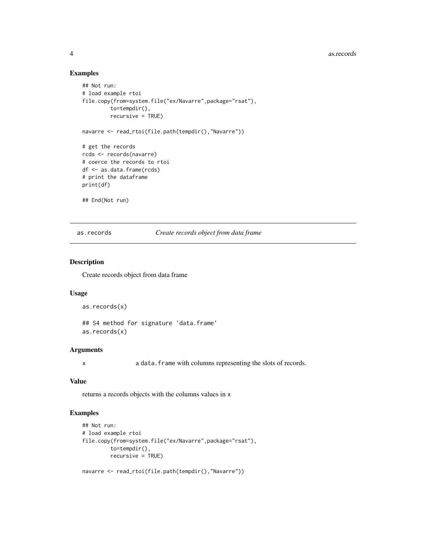#### 4 assessment and the contract of the contract of the contract of the contract of the contract of the contract of the contract of the contract of the contract of the contract of the contract of the contract of the contract

### Examples

```
## Not run:
# load example rtoi
file.copy(from=system.file("ex/Navarre",package="rsat"),
         to=tempdir(),
         recursive = TRUE)
navarre <- read_rtoi(file.path(tempdir(),"Navarre"))
# get the records
rcds <- records(navarre)
# coerce the records to rtoi
df <- as.data.frame(rcds)
# print the dataframe
print(df)
## End(Not run)
```
as.records *Create records object from data frame*

### Description

Create records object from data frame

#### Usage

```
as.records(x)
## S4 method for signature 'data.frame'
as.records(x)
```
#### Arguments

x a data.frame with columns representing the slots of records.

### Value

returns a records objects with the columns values in x

```
## Not run:
# load example rtoi
file.copy(from=system.file("ex/Navarre",package="rsat"),
         to=tempdir(),
        recursive = TRUE)
```

```
navarre <- read_rtoi(file.path(tempdir(),"Navarre"))
```
<span id="page-3-0"></span>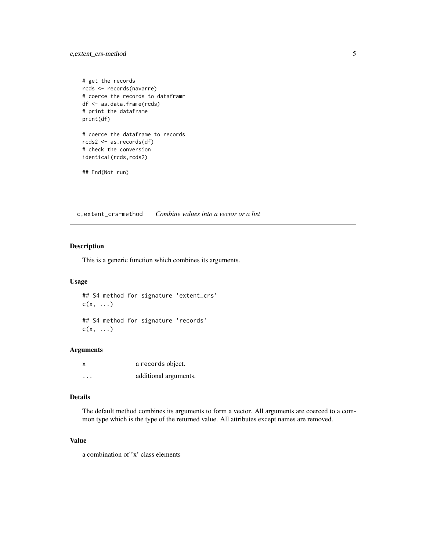```
# get the records
rcds <- records(navarre)
# coerce the records to dataframr
df <- as.data.frame(rcds)
# print the dataframe
print(df)
# coerce the dataframe to records
rcds2 <- as.records(df)
# check the conversion
identical(rcds,rcds2)
## End(Not run)
```
c,extent\_crs-method *Combine values into a vector or a list*

### Description

This is a generic function which combines its arguments.

### Usage

```
## S4 method for signature 'extent_crs'
c(x, \ldots)
```
## S4 method for signature 'records'  $c(x, \ldots)$ 

### Arguments

| x       | a records object.     |
|---------|-----------------------|
| $\cdot$ | additional arguments. |

#### Details

The default method combines its arguments to form a vector. All arguments are coerced to a common type which is the type of the returned value. All attributes except names are removed.

### Value

a combination of 'x' class elements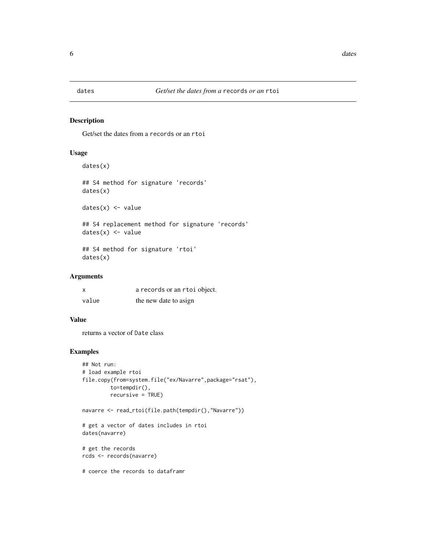<span id="page-5-0"></span>

#### Description

Get/set the dates from a records or an rtoi

### Usage

```
dates(x)
```

```
## S4 method for signature 'records'
dates(x)
```
 $dates(x) < - value$ 

## S4 replacement method for signature 'records'  $dates(x) < - value$ 

## S4 method for signature 'rtoi' dates(x)

### Arguments

| x     | a records or an rtoi object. |
|-------|------------------------------|
| value | the new date to asign        |

#### Value

returns a vector of Date class

### Examples

```
## Not run:
# load example rtoi
file.copy(from=system.file("ex/Navarre",package="rsat"),
         to=tempdir(),
         recursive = TRUE)
```
navarre <- read\_rtoi(file.path(tempdir(),"Navarre"))

```
# get a vector of dates includes in rtoi
dates(navarre)
```
# get the records rcds <- records(navarre)

# coerce the records to dataframr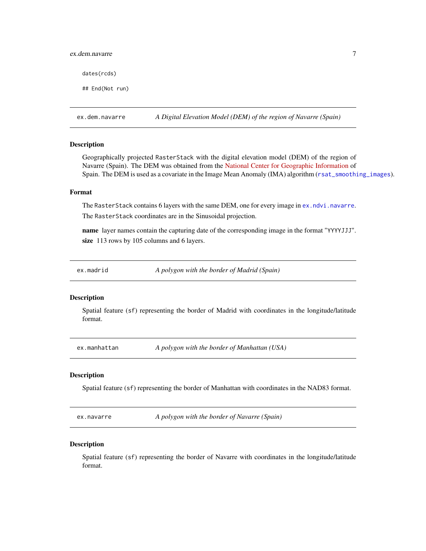### <span id="page-6-0"></span>ex.dem.navarre 7

dates(rcds)

## End(Not run)

ex.dem.navarre *A Digital Elevation Model (DEM) of the region of Navarre (Spain)*

#### Description

Geographically projected RasterStack with the digital elevation model (DEM) of the region of Navarre (Spain). The DEM was obtained from the [National Center for Geographic Information](http://centrodedescargas.cnig.es/CentroDescargas/locale?request_locale=en) of Spain. The DEM is used as a covariate in the Image Mean Anomaly (IMA) algorithm ([rsat\\_smoothing\\_images](#page-42-1)).

#### Format

The RasterStack contains 6 layers with the same DEM, one for every image in [ex.ndvi.navarre](#page-7-1). The RasterStack coordinates are in the Sinusoidal projection.

name layer names contain the capturing date of the corresponding image in the format "YYYYJJJ". size 113 rows by 105 columns and 6 layers.

ex.madrid *A polygon with the border of Madrid (Spain)*

#### **Description**

Spatial feature (sf) representing the border of Madrid with coordinates in the longitude/latitude format.

ex.manhattan *A polygon with the border of Manhattan (USA)*

### **Description**

Spatial feature (sf) representing the border of Manhattan with coordinates in the NAD83 format.

ex.navarre *A polygon with the border of Navarre (Spain)*

#### Description

Spatial feature (sf) representing the border of Navarre with coordinates in the longitude/latitude format.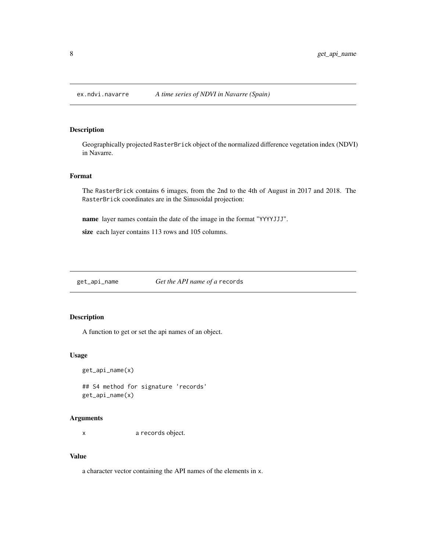<span id="page-7-1"></span><span id="page-7-0"></span>

### Description

Geographically projected RasterBrick object of the normalized difference vegetation index (NDVI) in Navarre.

### Format

The RasterBrick contains 6 images, from the 2nd to the 4th of August in 2017 and 2018. The RasterBrick coordinates are in the Sinusoidal projection:

name layer names contain the date of the image in the format "YYYYJJJ".

size each layer contains 113 rows and 105 columns.

get\_api\_name *Get the API name of a* records

### Description

A function to get or set the api names of an object.

#### Usage

```
get_api_name(x)
```
## S4 method for signature 'records' get\_api\_name(x)

#### Arguments

x a records object.

## Value

a character vector containing the API names of the elements in x.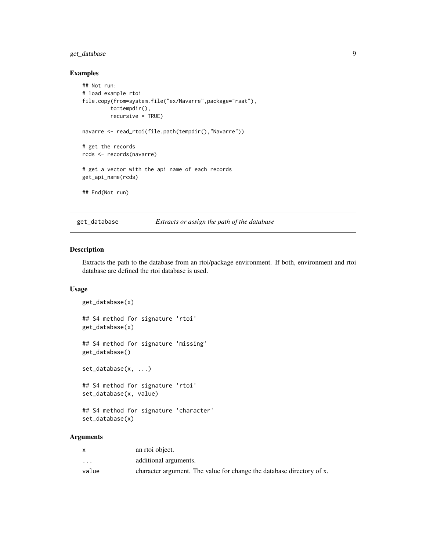### <span id="page-8-0"></span>get\_database 9

### Examples

```
## Not run:
# load example rtoi
file.copy(from=system.file("ex/Navarre",package="rsat"),
         to=tempdir(),
         recursive = TRUE)
navarre <- read_rtoi(file.path(tempdir(),"Navarre"))
# get the records
rcds <- records(navarre)
# get a vector with the api name of each records
get_api_name(rcds)
## End(Not run)
```
get\_database *Extracts or assign the path of the database*

#### Description

Extracts the path to the database from an rtoi/package environment. If both, environment and rtoi database are defined the rtoi database is used.

#### Usage

```
get_database(x)
## S4 method for signature 'rtoi'
get_database(x)
## S4 method for signature 'missing'
get_database()
set_database(x, ...)
## S4 method for signature 'rtoi'
set_database(x, value)
## S4 method for signature 'character'
```
set\_database(x)

#### **Arguments**

|                         | an rtoi object.                                                       |
|-------------------------|-----------------------------------------------------------------------|
| $\cdot$ $\cdot$ $\cdot$ | additional arguments.                                                 |
| value                   | character argument. The value for change the database directory of x. |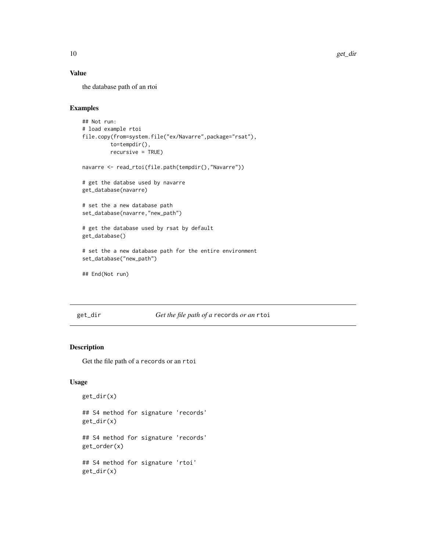### Value

the database path of an rtoi

### Examples

```
## Not run:
# load example rtoi
file.copy(from=system.file("ex/Navarre",package="rsat"),
         to=tempdir(),
         recursive = TRUE)
navarre <- read_rtoi(file.path(tempdir(),"Navarre"))
# get the databse used by navarre
get_database(navarre)
# set the a new database path
set_database(navarre,"new_path")
# get the database used by rsat by default
get_database()
# set the a new database path for the entire environment
set_database("new_path")
## End(Not run)
```
### get\_dir *Get the file path of a* records *or an* rtoi

### Description

Get the file path of a records or an rtoi

### Usage

```
get_dir(x)
```
## S4 method for signature 'records' get\_dir(x)

## S4 method for signature 'records' get\_order(x)

## S4 method for signature 'rtoi' get\_dir(x)

<span id="page-9-0"></span>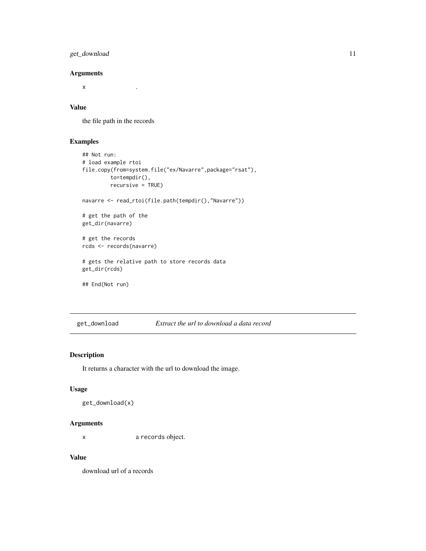### <span id="page-10-0"></span>get\_download 11

### Arguments

 $x \sim 1$ 

### Value

the file path in the records

### Examples

```
## Not run:
# load example rtoi
file.copy(from=system.file("ex/Navarre",package="rsat"),
         to=tempdir(),
         recursive = TRUE)
navarre <- read_rtoi(file.path(tempdir(),"Navarre"))
# get the path of the
get_dir(navarre)
# get the records
rcds <- records(navarre)
# gets the relative path to store records data
get_dir(rcds)
## End(Not run)
```
#### get\_download *Extract the url to download a data record*

### Description

It returns a character with the url to download the image.

#### Usage

```
get_download(x)
```
### Arguments

x a records object.

### Value

download url of a records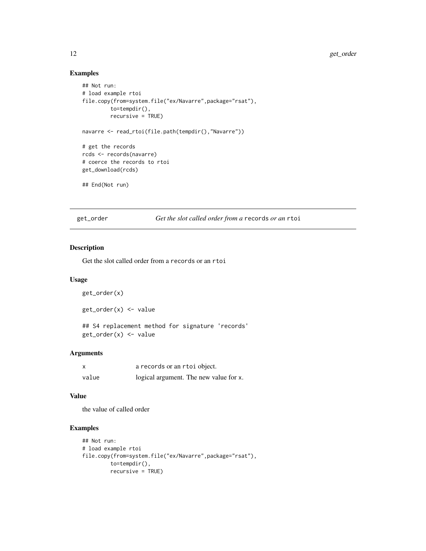### Examples

```
## Not run:
# load example rtoi
file.copy(from=system.file("ex/Navarre",package="rsat"),
         to=tempdir(),
         recursive = TRUE)
navarre <- read_rtoi(file.path(tempdir(),"Navarre"))
# get the records
rcds <- records(navarre)
# coerce the records to rtoi
get_download(rcds)
## End(Not run)
```
get\_order *Get the slot called order from a* records *or an* rtoi

#### Description

Get the slot called order from a records or an rtoi

### Usage

```
get_order(x)
```
get\_order(x) <- value

## S4 replacement method for signature 'records' get\_order(x) <- value

### Arguments

| X     | a records or an rtoi object.           |
|-------|----------------------------------------|
| value | logical argument. The new value for x. |

#### Value

the value of called order

```
## Not run:
# load example rtoi
file.copy(from=system.file("ex/Navarre",package="rsat"),
        to=tempdir(),
        recursive = TRUE)
```
<span id="page-11-0"></span>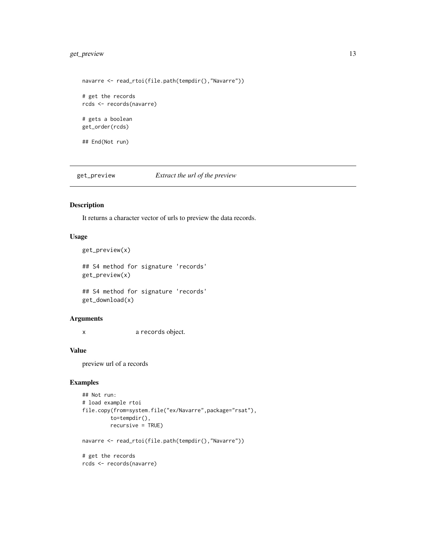### <span id="page-12-0"></span>get\_preview 13

```
navarre <- read_rtoi(file.path(tempdir(),"Navarre"))
# get the records
rcds <- records(navarre)
# gets a boolean
get_order(rcds)
## End(Not run)
```
get\_preview *Extract the url of the preview*

### Description

It returns a character vector of urls to preview the data records.

### Usage

```
get_preview(x)
```
## S4 method for signature 'records' get\_preview(x)

## S4 method for signature 'records' get\_download(x)

### Arguments

x a records object.

#### Value

preview url of a records

### Examples

```
## Not run:
# load example rtoi
file.copy(from=system.file("ex/Navarre",package="rsat"),
         to=tempdir(),
         recursive = TRUE)
```
navarre <- read\_rtoi(file.path(tempdir(),"Navarre"))

# get the records rcds <- records(navarre)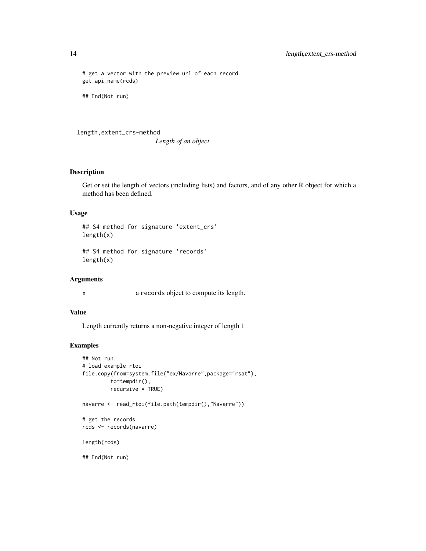# get a vector with the preview url of each record get\_api\_name(rcds) ## End(Not run)

### length,extent\_crs-method

*Length of an object*

### Description

Get or set the length of vectors (including lists) and factors, and of any other R object for which a method has been defined.

#### Usage

## S4 method for signature 'extent\_crs' length(x)

## S4 method for signature 'records' length(x)

### Arguments

x a records object to compute its length.

#### Value

Length currently returns a non-negative integer of length 1

```
## Not run:
# load example rtoi
file.copy(from=system.file("ex/Navarre",package="rsat"),
        to=tempdir(),
         recursive = TRUE)
navarre <- read_rtoi(file.path(tempdir(),"Navarre"))
# get the records
rcds <- records(navarre)
length(rcds)
## End(Not run)
```
<span id="page-13-0"></span>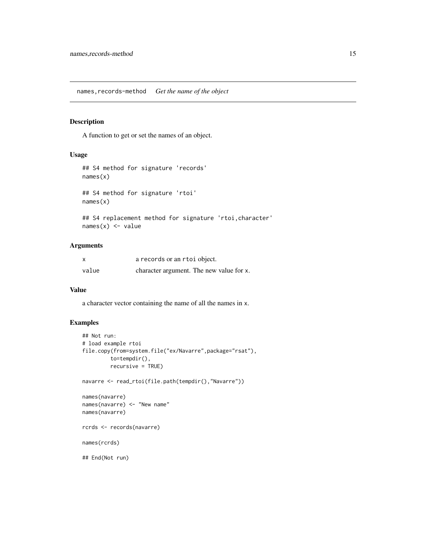<span id="page-14-0"></span>names,records-method *Get the name of the object*

### Description

A function to get or set the names of an object.

### Usage

```
## S4 method for signature 'records'
names(x)
## S4 method for signature 'rtoi'
names(x)
```
## S4 replacement method for signature 'rtoi, character'  $names(x)$  <- value

## Arguments

| $\boldsymbol{\mathsf{x}}$ | a records or an rtoi object.             |
|---------------------------|------------------------------------------|
| value                     | character argument. The new value for x. |

### Value

a character vector containing the name of all the names in x.

```
## Not run:
# load example rtoi
file.copy(from=system.file("ex/Navarre",package="rsat"),
         to=tempdir(),
         recursive = TRUE)
navarre <- read_rtoi(file.path(tempdir(),"Navarre"))
names(navarre)
names(navarre) <- "New name"
names(navarre)
rcrds <- records(navarre)
names(rcrds)
## End(Not run)
```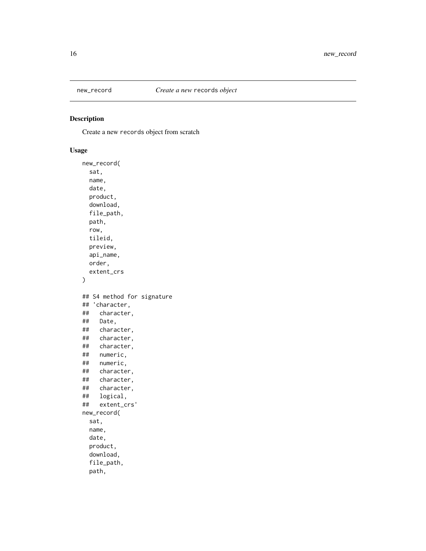<span id="page-15-0"></span>

### Description

Create a new records object from scratch

### Usage

```
new_record(
  sat,
 name,
 date,
 product,
 download,
 file_path,
 path,
 row,
  tileid,
 preview,
  api_name,
 order,
  extent_crs
\mathcal{L}## S4 method for signature
## 'character,
## character,
## Date,
## character,
## character,
## character,
## numeric,
## numeric,
## character,
## character,
## character,
## logical,
## extent_crs'
new_record(
  sat,
 name,
 date,
 product,
 download,
  file_path,
 path,
```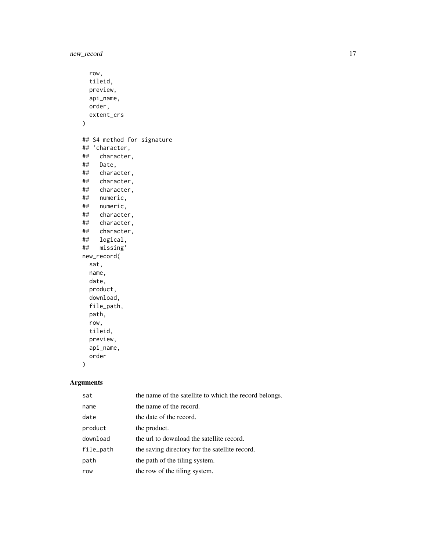new\_record 17

```
row,
 tileid,
 preview,
 api_name,
 order,
 extent_crs
)
## S4 method for signature
## 'character,
## character,
## Date,
## character,
## character,
## character,
## numeric,
## numeric,
   character,
## character,
   character,
## logical,
## missing'
new_record(
 sat,
 name,
 date,
 product,
 download,
 file_path,
 path,
  row,
 tileid,
 preview,
 api_name,
 order
\mathcal{L}
```
### Arguments

| sat       | the name of the satellite to which the record belongs. |
|-----------|--------------------------------------------------------|
| name      | the name of the record.                                |
| date      | the date of the record.                                |
| product   | the product.                                           |
| download  | the url to download the satellite record.              |
| file_path | the saving directory for the satellite record.         |
| path      | the path of the tiling system.                         |
| row       | the row of the tiling system.                          |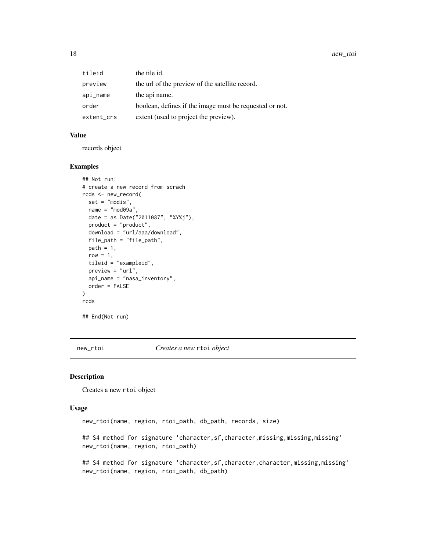<span id="page-17-0"></span>

| tileid     | the tile id.                                            |
|------------|---------------------------------------------------------|
| preview    | the url of the preview of the satellite record.         |
| api_name   | the api name.                                           |
| order      | boolean, defines if the image must be requested or not. |
| extent_crs | extent (used to project the preview).                   |

#### Value

records object

#### Examples

```
## Not run:
# create a new record from scrach
rcds <- new_record(
 sat = "modis",
 name = "mod09a",
 date = as.Date("2011087", "%Y%j"),
 product = "product",
 download = "url/aaa/download",
 file_path = "file_path",
 path = 1,
 row = 1,
 tileid = "exampleid",
 preview = "url",
 api_name = "nasa_inventory",
 order = FALSE
)
rcds
## End(Not run)
```
new\_rtoi *Creates a new* rtoi *object*

#### Description

Creates a new rtoi object

#### Usage

new\_rtoi(name, region, rtoi\_path, db\_path, records, size)

## S4 method for signature 'character, sf, character, missing, missing, missing' new\_rtoi(name, region, rtoi\_path)

## S4 method for signature 'character, sf, character, character, missing, missing' new\_rtoi(name, region, rtoi\_path, db\_path)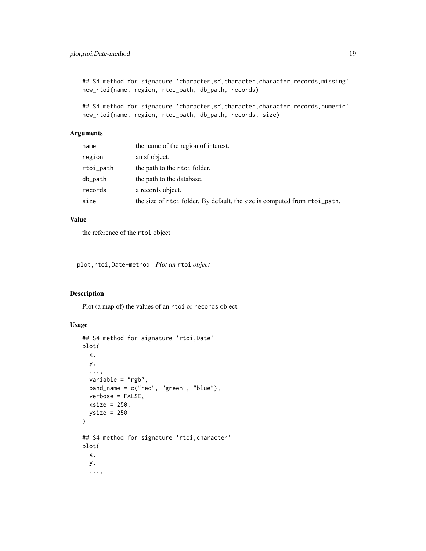<span id="page-18-0"></span>## S4 method for signature 'character,sf,character,character,records,missing' new\_rtoi(name, region, rtoi\_path, db\_path, records)

## S4 method for signature 'character,sf,character,character,records,numeric' new\_rtoi(name, region, rtoi\_path, db\_path, records, size)

### Arguments

| name      | the name of the region of interest.                                       |
|-----------|---------------------------------------------------------------------------|
| region    | an sf object.                                                             |
| rtoi_path | the path to the rtoi folder.                                              |
| db_path   | the path to the database.                                                 |
| records   | a records object.                                                         |
| size      | the size of rtoi folder. By default, the size is computed from rtoi_path. |

### Value

the reference of the rtoi object

plot,rtoi,Date-method *Plot an* rtoi *object*

### Description

Plot (a map of) the values of an rtoi or records object.

### Usage

```
## S4 method for signature 'rtoi,Date'
plot(
 x,
 y,
  ...,
 variable = "rgb",
 band_name = c("red", "green", "blue"),
  verbose = FALSE,
 xsize = 250,
 ysize = 250
\mathcal{L}## S4 method for signature 'rtoi,character'
plot(
 x,
 y,
  ...,
```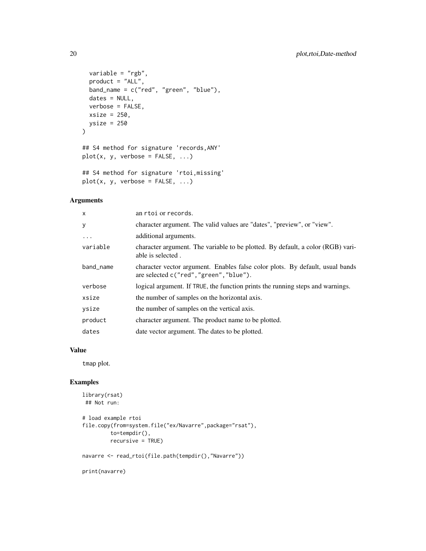```
variable = "rgb",
 product = "ALL",
 band_name = c("red", "green", "blue"),
 dates = NULL,
 verbose = FALSE,
 xsize = 250,
 ysis = 250\mathcal{L}## S4 method for signature 'records,ANY'
plot(x, y, verbose = FALSE, ...)
```

```
## S4 method for signature 'rtoi,missing'
plot(x, y, verbose = FALSE, ...)
```
### Arguments

| $\mathsf{x}$ | an rtoi or records.                                                                                                      |
|--------------|--------------------------------------------------------------------------------------------------------------------------|
| У            | character argument. The valid values are "dates", "preview", or "view".                                                  |
| .            | additional arguments.                                                                                                    |
| variable     | character argument. The variable to be plotted. By default, a color (RGB) vari-<br>able is selected.                     |
| band_name    | character vector argument. Enables false color plots. By default, usual bands<br>are selected c("red", "green", "blue"). |
| verbose      | logical argument. If TRUE, the function prints the running steps and warnings.                                           |
| xsize        | the number of samples on the horizontal axis.                                                                            |
| ysize        | the number of samples on the vertical axis.                                                                              |
| product      | character argument. The product name to be plotted.                                                                      |
| dates        | date vector argument. The dates to be plotted.                                                                           |

#### Value

tmap plot.

### Examples

```
library(rsat)
## Not run:
# load example rtoi
file.copy(from=system.file("ex/Navarre",package="rsat"),
        to=tempdir(),
        recursive = TRUE)
```

```
navarre <- read_rtoi(file.path(tempdir(),"Navarre"))
```
print(navarre)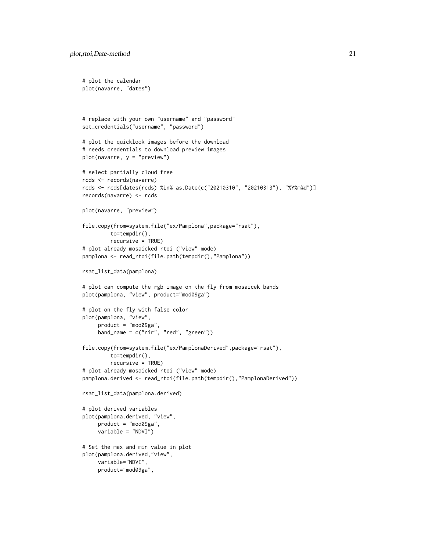```
# plot the calendar
plot(navarre, "dates")
# replace with your own "username" and "password"
set_credentials("username", "password")
# plot the quicklook images before the download
# needs credentials to download preview images
plot(navarre, y = "preview")
# select partially cloud free
rcds <- records(navarre)
rcds <- rcds[dates(rcds) %in% as.Date(c("20210310", "20210313"), "%Y%m%d")]
records(navarre) <- rcds
plot(navarre, "preview")
file.copy(from=system.file("ex/Pamplona",package="rsat"),
        to=tempdir(),
        recursive = TRUE)
# plot already mosaicked rtoi ("view" mode)
pamplona <- read_rtoi(file.path(tempdir(),"Pamplona"))
rsat_list_data(pamplona)
# plot can compute the rgb image on the fly from mosaicek bands
plot(pamplona, "view", product="mod09ga")
# plot on the fly with false color
plot(pamplona, "view",
     product = "mod09ga",
     band_name = c("nir", "red", "green"))
file.copy(from=system.file("ex/PamplonaDerived",package="rsat"),
        to=tempdir(),
         recursive = TRUE)
# plot already mosaicked rtoi ("view" mode)
pamplona.derived <- read_rtoi(file.path(tempdir(),"PamplonaDerived"))
rsat_list_data(pamplona.derived)
# plot derived variables
plot(pamplona.derived, "view",
     product = "mod09ga",
     variable = "NDVI")
# Set the max and min value in plot
plot(pamplona.derived,"view",
     variable="NDVI",
     product="mod09ga",
```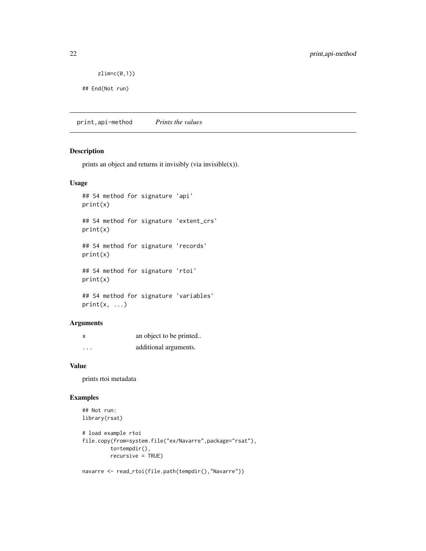<span id="page-21-0"></span> $zlim=c(0,1))$ 

## End(Not run)

print,api-method *Prints the values*

### Description

prints an object and returns it invisibly (via invisible $(x)$ ).

### Usage

## S4 method for signature 'api' print(x) ## S4 method for signature 'extent\_crs' print(x) ## S4 method for signature 'records' print(x) ## S4 method for signature 'rtoi' print(x)

```
## S4 method for signature 'variables'
print(x, \ldots)
```
#### Arguments

| X        | an object to be printed |
|----------|-------------------------|
| $\cdots$ | additional arguments.   |

#### Value

prints rtoi metadata

```
## Not run:
library(rsat)
```

```
# load example rtoi
file.copy(from=system.file("ex/Navarre",package="rsat"),
        to=tempdir(),
        recursive = TRUE)
```

```
navarre <- read_rtoi(file.path(tempdir(),"Navarre"))
```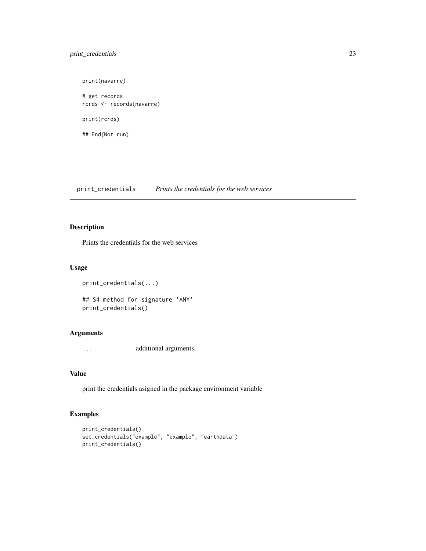### <span id="page-22-0"></span>print\_credentials 23

print(navarre)

# get records rcrds <- records(navarre)

print(rcrds)

## End(Not run)

print\_credentials *Prints the credentials for the web services*

### Description

Prints the credentials for the web services

### Usage

```
print_credentials(...)
## S4 method for signature 'ANY'
print_credentials()
```
### Arguments

... additional arguments.

### Value

print the credentials asigned in the package environment variable

```
print_credentials()
set_credentials("example", "example", "earthdata")
print_credentials()
```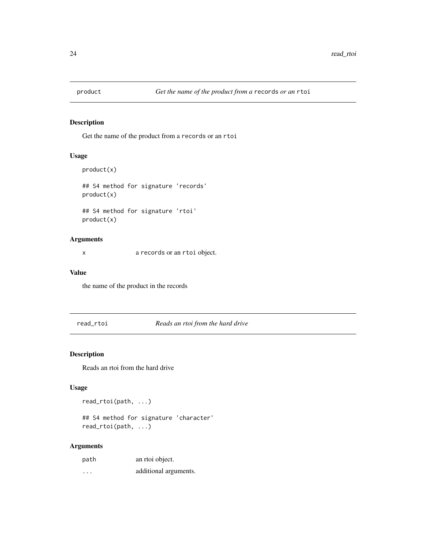<span id="page-23-0"></span>

### Description

Get the name of the product from a records or an rtoi

#### Usage

```
product(x)
## S4 method for signature 'records'
product(x)
## S4 method for signature 'rtoi'
product(x)
```
### Arguments

x a records or an rtoi object.

### Value

the name of the product in the records

read\_rtoi *Reads an rtoi from the hard drive*

### Description

Reads an rtoi from the hard drive

### Usage

read\_rtoi(path, ...)

## S4 method for signature 'character' read\_rtoi(path, ...)

#### Arguments

| path     | an rtoi object.       |
|----------|-----------------------|
| $\cdots$ | additional arguments. |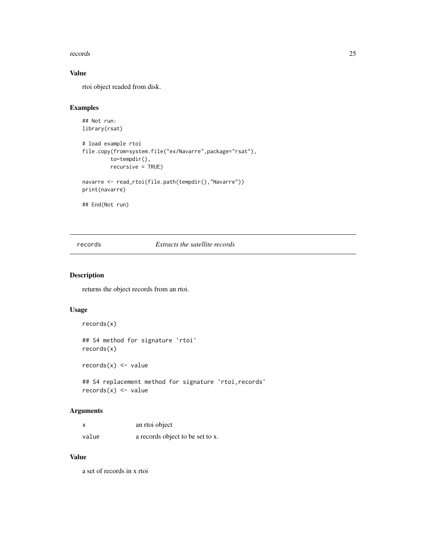#### <span id="page-24-0"></span>records 25

### Value

rtoi object readed from disk.

### Examples

```
## Not run:
library(rsat)
```

```
# load example rtoi
file.copy(from=system.file("ex/Navarre",package="rsat"),
         to=tempdir(),
        recursive = TRUE)
navarre <- read_rtoi(file.path(tempdir(),"Navarre"))
```
print(navarre)

## End(Not run)

records *Extracts the satellite records*

### Description

returns the object records from an rtoi.

### Usage

records(x)

## S4 method for signature 'rtoi' records(x)

 $records(x) < - value$ 

## S4 replacement method for signature 'rtoi,records'  $records(x)$  <- value

### Arguments

|       | an rtoi object                   |
|-------|----------------------------------|
| value | a records object to be set to x. |

#### Value

a set of records in x rtoi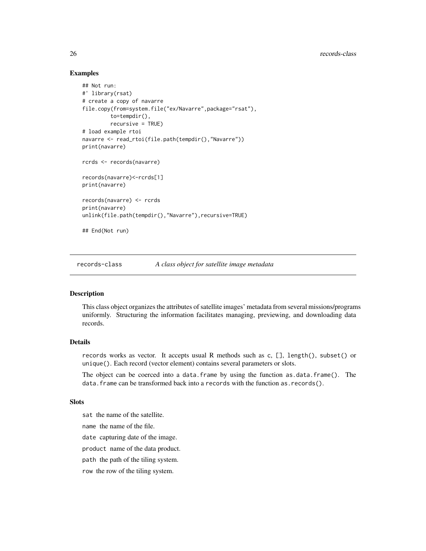### Examples

```
## Not run:
#' library(rsat)
# create a copy of navarre
file.copy(from=system.file("ex/Navarre",package="rsat"),
         to=tempdir(),
         recursive = TRUE)
# load example rtoi
navarre <- read_rtoi(file.path(tempdir(),"Navarre"))
print(navarre)
rcrds <- records(navarre)
records(navarre)<-rcrds[1]
print(navarre)
records(navarre) <- rcrds
print(navarre)
unlink(file.path(tempdir(),"Navarre"),recursive=TRUE)
## End(Not run)
```
records-class *A class object for satellite image metadata*

### Description

This class object organizes the attributes of satellite images' metadata from several missions/programs uniformly. Structuring the information facilitates managing, previewing, and downloading data records.

#### Details

records works as vector. It accepts usual R methods such as c, [], length(), subset() or unique(). Each record (vector element) contains several parameters or slots.

The object can be coerced into a data.frame by using the function as.data.frame(). The data.frame can be transformed back into a records with the function as.records().

#### Slots

sat the name of the satellite.

name the name of the file.

date capturing date of the image.

product name of the data product.

path the path of the tiling system.

row the row of the tiling system.

<span id="page-25-0"></span>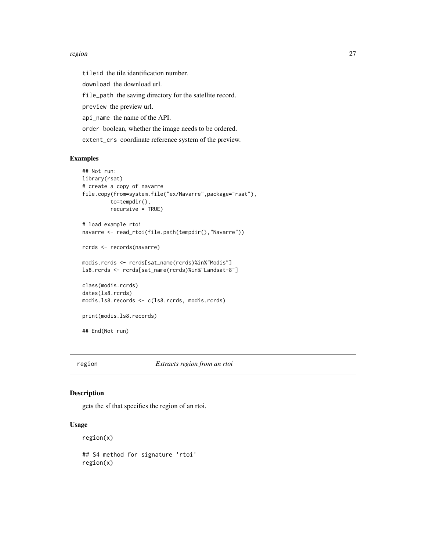#### <span id="page-26-0"></span>region and the contract of the contract of the contract of the contract of the contract of the contract of the contract of the contract of the contract of the contract of the contract of the contract of the contract of the

tileid the tile identification number. download the download url. file\_path the saving directory for the satellite record. preview the preview url. api\_name the name of the API. order boolean, whether the image needs to be ordered. extent\_crs coordinate reference system of the preview.

### Examples

```
## Not run:
library(rsat)
# create a copy of navarre
file.copy(from=system.file("ex/Navarre",package="rsat"),
         to=tempdir(),
         recursive = TRUE)
# load example rtoi
navarre <- read_rtoi(file.path(tempdir(),"Navarre"))
rcrds <- records(navarre)
modis.rcrds <- rcrds[sat_name(rcrds)%in%"Modis"]
ls8.rcrds <- rcrds[sat_name(rcrds)%in%"Landsat-8"]
class(modis.rcrds)
dates(ls8.rcrds)
modis.ls8.records <- c(ls8.rcrds, modis.rcrds)
print(modis.ls8.records)
## End(Not run)
```
region *Extracts region from an rtoi*

#### Description

gets the sf that specifies the region of an rtoi.

### Usage

```
region(x)
## S4 method for signature 'rtoi'
region(x)
```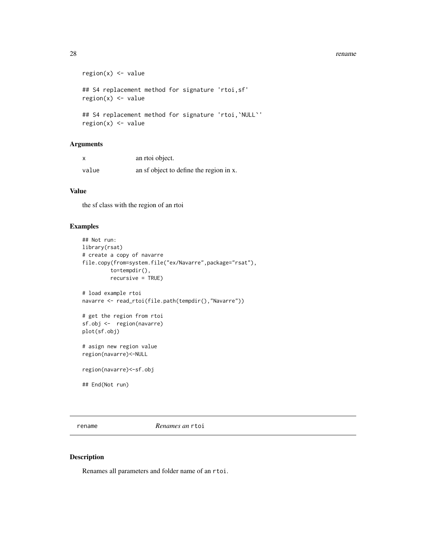#### <span id="page-27-0"></span>28 rename contract to the contract of the contract of the contract of the contract of the contract of the contract of the contract of the contract of the contract of the contract of the contract of the contract of the cont

```
region(x) \leq value## S4 replacement method for signature 'rtoi,sf'
region(x) < - value## S4 replacement method for signature 'rtoi, `NULL`'
region(x) < - value
```
### Arguments

|       | an rtoi object.                         |
|-------|-----------------------------------------|
| value | an sf object to define the region in x. |

### Value

the sf class with the region of an rtoi

### Examples

```
## Not run:
library(rsat)
# create a copy of navarre
file.copy(from=system.file("ex/Navarre",package="rsat"),
         to=tempdir(),
         recursive = TRUE)
# load example rtoi
navarre <- read_rtoi(file.path(tempdir(),"Navarre"))
# get the region from rtoi
sf.obj <- region(navarre)
plot(sf.obj)
# asign new region value
region(navarre)<-NULL
region(navarre)<-sf.obj
## End(Not run)
```
rename *Renames an* rtoi

#### Description

Renames all parameters and folder name of an rtoi.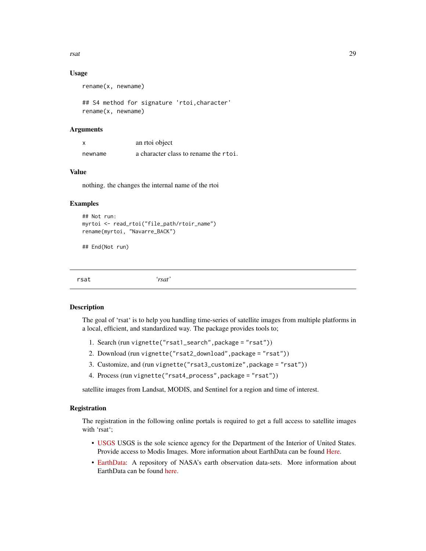<span id="page-28-0"></span>rsat 29

### Usage

rename(x, newname)

## S4 method for signature 'rtoi,character' rename(x, newname)

#### Arguments

| X       | an rtoi object                        |
|---------|---------------------------------------|
| newname | a character class to rename the rtoi. |

### Value

nothing. the changes the internal name of the rtoi

#### Examples

```
## Not run:
myrtoi <- read_rtoi("file_path/rtoir_name")
rename(myrtoi, "Navarre_BACK")
```
## End(Not run)

rsat *'rsat'*

#### Description

The goal of 'rsat' is to help you handling time-series of satellite images from multiple platforms in a local, efficient, and standardized way. The package provides tools to;

- 1. Search (run vignette("rsat1\_search",package = "rsat"))
- 2. Download (run vignette("rsat2\_download",package = "rsat"))
- 3. Customize, and (run vignette("rsat3\_customize",package = "rsat"))
- 4. Process (run vignette("rsat4\_process",package = "rsat"))

satellite images from Landsat, MODIS, and Sentinel for a region and time of interest.

### Registration

The registration in the following online portals is required to get a full access to satellite images with 'rsat';

- [USGS](https://ers.cr.usgs.gov/register) USGS is the sole science agency for the Department of the Interior of United States. Provide access to Modis Images. More information about EarthData can be found [Here.](https://www.usgs.gov)
- [EarthData:](https://urs.earthdata.nasa.gov) A repository of NASA's earth observation data-sets. More information about EarthData can be found [here.](https://earthdata.nasa.gov/earth-observation-data)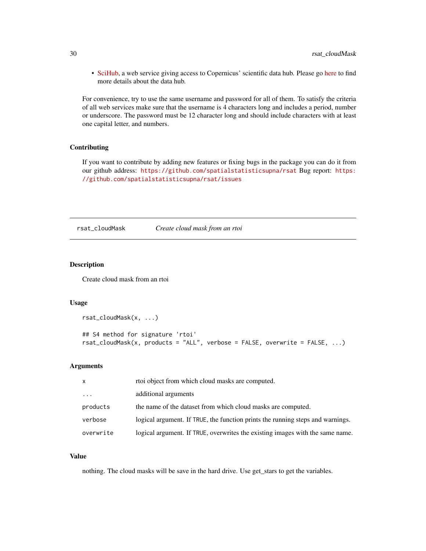<span id="page-29-0"></span>• [SciHub,](https://scihub.copernicus.eu/dhus/#/self-registration) a web service giving access to Copernicus' scientific data hub. Please go [here](https://scihub.copernicus.eu) to find more details about the data hub.

For convenience, try to use the same username and password for all of them. To satisfy the criteria of all web services make sure that the username is 4 characters long and includes a period, number or underscore. The password must be 12 character long and should include characters with at least one capital letter, and numbers.

#### Contributing

If you want to contribute by adding new features or fixing bugs in the package you can do it from our github address: <https://github.com/spatialstatisticsupna/rsat> Bug report: [https:](https://github.com/spatialstatisticsupna/rsat/issues) [//github.com/spatialstatisticsupna/rsat/issues](https://github.com/spatialstatisticsupna/rsat/issues)

rsat\_cloudMask *Create cloud mask from an rtoi*

### Description

Create cloud mask from an rtoi

#### Usage

```
rsat_cloudMask(x, ...)
```

```
## S4 method for signature 'rtoi'
rsat_cloudMask(x, products = "ALL", verbose = FALSE, overwrite = FALSE, ...)
```
#### Arguments

| X                   | rtoi object from which cloud masks are computed.                               |
|---------------------|--------------------------------------------------------------------------------|
| $\cdot \cdot \cdot$ | additional arguments                                                           |
| products            | the name of the dataset from which cloud masks are computed.                   |
| verbose             | logical argument. If TRUE, the function prints the running steps and warnings. |
| overwrite           | logical argument. If TRUE, overwrites the existing images with the same name.  |

### Value

nothing. The cloud masks will be save in the hard drive. Use get\_stars to get the variables.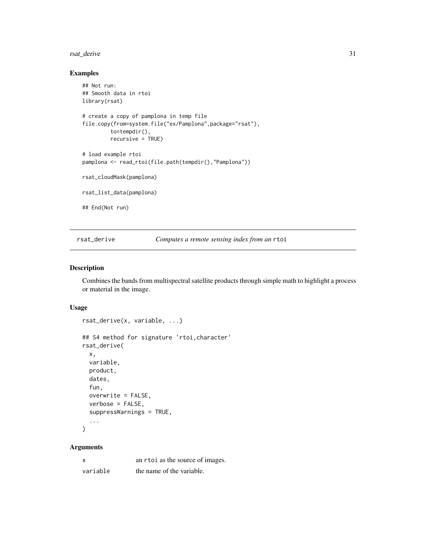### <span id="page-30-0"></span>rsat\_derive 31

### Examples

```
## Not run:
## Smooth data in rtoi
library(rsat)
# create a copy of pamplona in temp file
file.copy(from=system.file("ex/Pamplona",package="rsat"),
         to=tempdir(),
         recursive = TRUE)
# load example rtoi
pamplona <- read_rtoi(file.path(tempdir(),"Pamplona"))
rsat_cloudMask(pamplona)
rsat_list_data(pamplona)
## End(Not run)
```
rsat\_derive *Computes a remote sensing index from an* rtoi

### Description

Combines the bands from multispectral satellite products through simple math to highlight a process or material in the image.

#### Usage

```
rsat_derive(x, variable, ...)
## S4 method for signature 'rtoi,character'
rsat_derive(
 x,
 variable,
 product,
 dates,
 fun,
 overwrite = FALSE,
 verbose = FALSE,
  suppressWarnings = TRUE,
  ...
)
```
### Arguments

| x        | an r to i as the source of images. |
|----------|------------------------------------|
| variable | the name of the variable.          |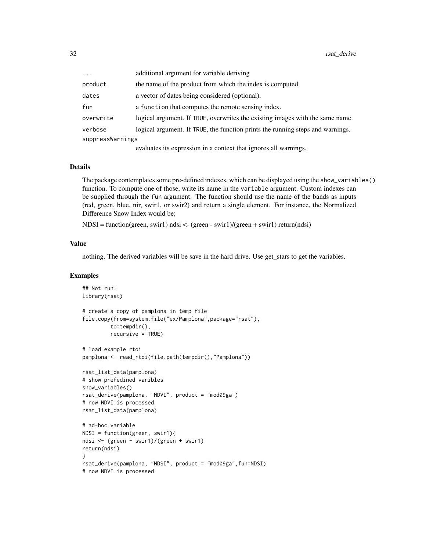| $\cdots$         | additional argument for variable deriving                                      |
|------------------|--------------------------------------------------------------------------------|
| product          | the name of the product from which the index is computed.                      |
| dates            | a vector of dates being considered (optional).                                 |
| fun              | a function that computes the remote sensing index.                             |
| overwrite        | logical argument. If TRUE, overwrites the existing images with the same name.  |
| verbose          | logical argument. If TRUE, the function prints the running steps and warnings. |
| suppressWarnings |                                                                                |
|                  | evaluates its expression in a context that ignores all warnings.               |

Details

The package contemplates some pre-defined indexes, which can be displayed using the show\_variables() function. To compute one of those, write its name in the variable argument. Custom indexes can be supplied through the fun argument. The function should use the name of the bands as inputs (red, green, blue, nir, swir1, or swir2) and return a single element. For instance, the Normalized Difference Snow Index would be;

NDSI = function(green, swir1) ndsi <- (green - swir1)/(green + swir1) return(ndsi)

#### Value

nothing. The derived variables will be save in the hard drive. Use get\_stars to get the variables.

```
## Not run:
library(rsat)
# create a copy of pamplona in temp file
file.copy(from=system.file("ex/Pamplona",package="rsat"),
         to=tempdir(),
         recursive = TRUE)
# load example rtoi
pamplona <- read_rtoi(file.path(tempdir(),"Pamplona"))
rsat_list_data(pamplona)
# show prefedined varibles
show_variables()
rsat_derive(pamplona, "NDVI", product = "mod09ga")
# now NDVI is processed
rsat_list_data(pamplona)
# ad-hoc variable
NDSI = function(green, swir1){
ndsi <- (green - swir1)/(green + swir1)
return(ndsi)
}
rsat_derive(pamplona, "NDSI", product = "mod09ga",fun=NDSI)
# now NDVI is processed
```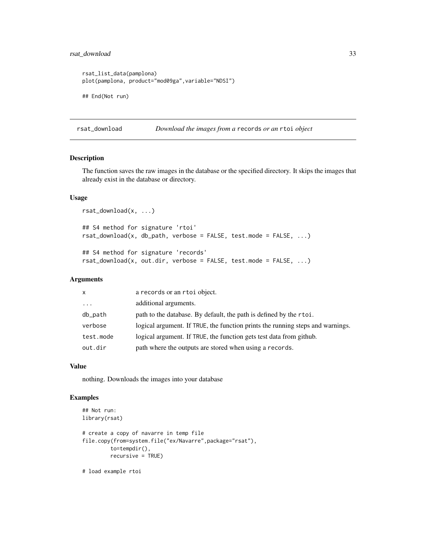### <span id="page-32-0"></span>rsat\_download 33

```
rsat_list_data(pamplona)
plot(pamplona, product="mod09ga",variable="NDSI")
## End(Not run)
```
rsat\_download *Download the images from a* records *or an* rtoi *object*

#### Description

The function saves the raw images in the database or the specified directory. It skips the images that already exist in the database or directory.

### Usage

```
rsat_download(x, ...)
## S4 method for signature 'rtoi'
rsat_download(x, db_path, verbose = FALSE, test.mode = FALSE, ...)## S4 method for signature 'records'
rsat_download(x, out.dir, verbose = FALSE, test.mode = FALSE, ...)
```
### Arguments

| $\mathsf{x}$ | a records or an rtoi object.                                                   |
|--------------|--------------------------------------------------------------------------------|
| $\cdots$     | additional arguments.                                                          |
| db_path      | path to the database. By default, the path is defined by the rtoi.             |
| verbose      | logical argument. If TRUE, the function prints the running steps and warnings. |
| test.mode    | logical argument. If TRUE, the function gets test data from github.            |
| out.dir      | path where the outputs are stored when using a records.                        |

### Value

nothing. Downloads the images into your database

### Examples

```
## Not run:
library(rsat)
# create a copy of navarre in temp file
file.copy(from=system.file("ex/Navarre",package="rsat"),
         to=tempdir(),
         recursive = TRUE)
```
# load example rtoi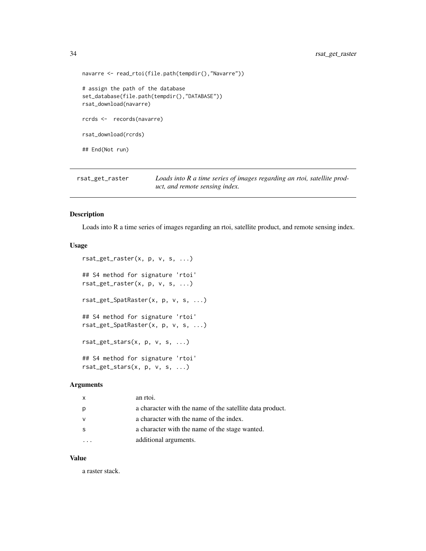```
navarre <- read_rtoi(file.path(tempdir(),"Navarre"))
# assign the path of the database
set_database(file.path(tempdir(),"DATABASE"))
rsat_download(navarre)
rcrds <- records(navarre)
rsat_download(rcrds)
## End(Not run)
```
rsat\_get\_raster *Loads into R a time series of images regarding an rtoi, satellite product, and remote sensing index.*

### Description

Loads into R a time series of images regarding an rtoi, satellite product, and remote sensing index.

#### Usage

```
rsat_get_raster(x, p, v, s, ...)
## S4 method for signature 'rtoi'
rsat_get_raster(x, p, v, s, ...)
rsat_get_SpatRaster(x, p, v, s, ...)
## S4 method for signature 'rtoi'
rsat_get_SpatRaster(x, p, v, s, ...)
rsat\_get\_stars(x, p, v, s, ...)## S4 method for signature 'rtoi'
rsat\_get\_stars(x, p, v, s, ...)
```
#### Arguments

| $\mathsf{x}$ | an rtoi.                                                 |
|--------------|----------------------------------------------------------|
| p            | a character with the name of the satellite data product. |
| v            | a character with the name of the index.                  |
| -S           | a character with the name of the stage wanted.           |
|              | additional arguments.                                    |

### Value

a raster stack.

<span id="page-33-0"></span>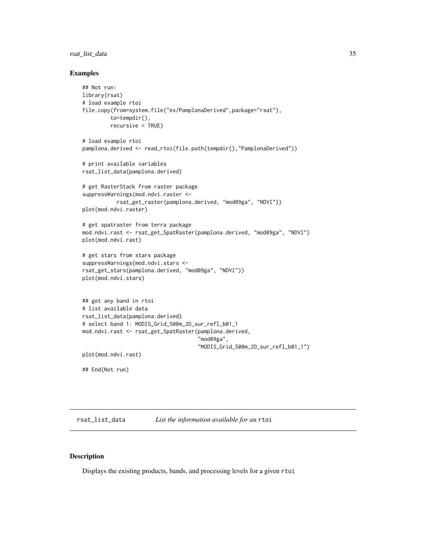### <span id="page-34-0"></span>rsat\_list\_data 35

#### Examples

```
## Not run:
library(rsat)
# load example rtoi
file.copy(from=system.file("ex/PamplonaDerived",package="rsat"),
         to=tempdir(),
         recursive = TRUE)
# load example rtoi
pamplona.derived <- read_rtoi(file.path(tempdir(),"PamplonaDerived"))
# print available variables
rsat_list_data(pamplona.derived)
# get RasterStack from raster package
suppressWarnings(mod.ndvi.raster <-
           rsat_get_raster(pamplona.derived, "mod09ga", "NDVI"))
plot(mod.ndvi.raster)
# get spatraster from terra package
mod.ndvi.rast <- rsat_get_SpatRaster(pamplona.derived, "mod09ga", "NDVI")
plot(mod.ndvi.rast)
# get stars from stars package
suppressWarnings(mod.ndvi.stars <-
rsat_get_stars(pamplona.derived, "mod09ga", "NDVI"))
plot(mod.ndvi.stars)
## get any band in rtoi
# list available data
rsat_list_data(pamplona.derived)
# select band 1: MODIS_Grid_500m_2D_sur_refl_b01_1
mod.ndvi.rast <- rsat_get_SpatRaster(pamplona.derived,
                                     "mod09ga",
                                     "MODIS_Grid_500m_2D_sur_refl_b01_1")
plot(mod.ndvi.rast)
## End(Not run)
```
<span id="page-34-1"></span>rsat\_list\_data *List the information available for an* rtoi

### Description

Displays the existing products, bands, and processing levels for a given rtoi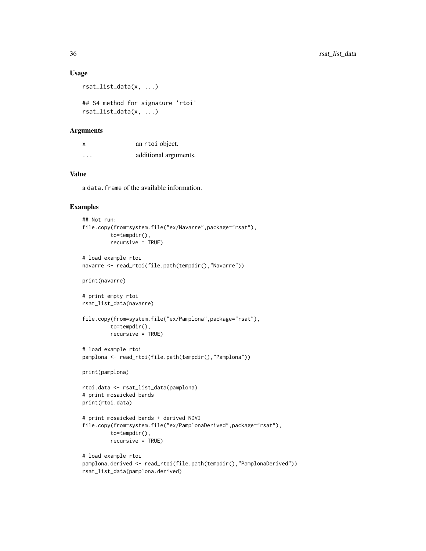#### Usage

```
rsat_list_data(x, ...)
```

```
## S4 method for signature 'rtoi'
rsat_list_data(x, ...)
```
### Arguments

| x                       | an rtoi object.       |
|-------------------------|-----------------------|
| $\cdot$ $\cdot$ $\cdot$ | additional arguments. |

### Value

a data.frame of the available information.

```
## Not run:
file.copy(from=system.file("ex/Navarre",package="rsat"),
         to=tempdir(),
         recursive = TRUE)
# load example rtoi
navarre <- read_rtoi(file.path(tempdir(),"Navarre"))
print(navarre)
# print empty rtoi
rsat_list_data(navarre)
file.copy(from=system.file("ex/Pamplona",package="rsat"),
         to=tempdir(),
         recursive = TRUE)
# load example rtoi
pamplona <- read_rtoi(file.path(tempdir(),"Pamplona"))
print(pamplona)
rtoi.data <- rsat_list_data(pamplona)
# print mosaicked bands
print(rtoi.data)
# print mosaicked bands + derived NDVI
file.copy(from=system.file("ex/PamplonaDerived",package="rsat"),
         to=tempdir(),
         recursive = TRUE)
# load example rtoi
pamplona.derived <- read_rtoi(file.path(tempdir(),"PamplonaDerived"))
rsat_list_data(pamplona.derived)
```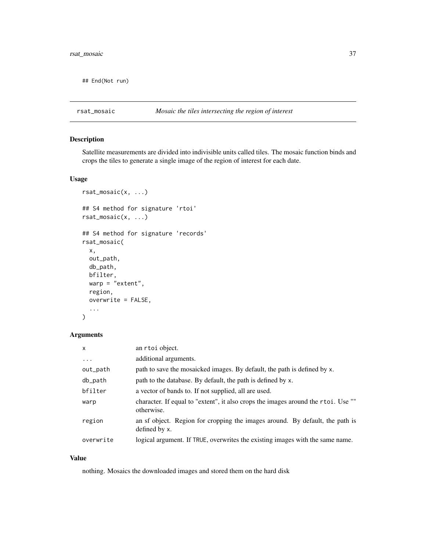<span id="page-36-0"></span>## End(Not run)

### rsat\_mosaic *Mosaic the tiles intersecting the region of interest*

### Description

Satellite measurements are divided into indivisible units called tiles. The mosaic function binds and crops the tiles to generate a single image of the region of interest for each date.

#### Usage

```
rsat_mosaic(x, ...)
## S4 method for signature 'rtoi'
rsat_mosaic(x, ...)
## S4 method for signature 'records'
rsat_mosaic(
 x,
 out_path,
 db_path,
 bfilter,
 warp = "extent",
 region,
 overwrite = FALSE,
  ...
)
```
### Arguments

| $\mathsf{x}$ | an rtoi object.                                                                                 |
|--------------|-------------------------------------------------------------------------------------------------|
| $\ddots$     | additional arguments.                                                                           |
| out_path     | path to save the mosaicked images. By default, the path is defined by x.                        |
| db_path      | path to the database. By default, the path is defined by x.                                     |
| bfilter      | a vector of bands to. If not supplied, all are used.                                            |
| warp         | character. If equal to "extent", it also crops the images around the rtoi. Use ""<br>otherwise. |
| region       | an sf object. Region for cropping the images around. By default, the path is<br>defined by x.   |
| overwrite    | logical argument. If TRUE, overwrites the existing images with the same name.                   |

### Value

nothing. Mosaics the downloaded images and stored them on the hard disk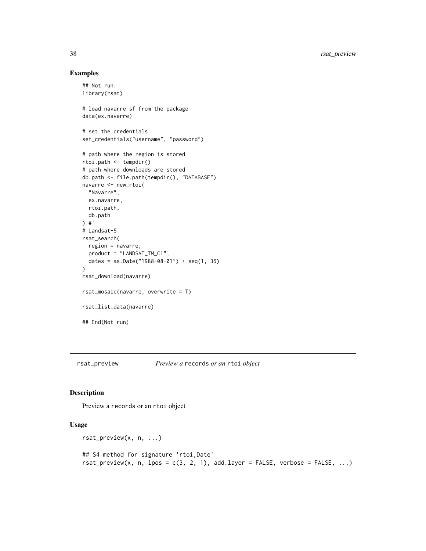### Examples

```
## Not run:
library(rsat)
# load navarre sf from the package
data(ex.navarre)
# set the credentials
set_credentials("username", "password")
# path where the region is stored
rtoi.path <- tempdir()
# path where downloads are stored
db.path <- file.path(tempdir(), "DATABASE")
navarre <- new_rtoi(
  "Navarre",
 ex.navarre,
 rtoi.path,
  db.path
) #'
# Landsat-5
rsat_search(
  region = navarre,
  product = "LANDSAT_TM_C1",
  dates = as.Date("1988-08-01") + seq(1, 35)
)
rsat_download(navarre)
rsat_mosaic(navarre, overwrite = T)
rsat_list_data(navarre)
## End(Not run)
```
rsat\_preview *Preview a* records *or an* rtoi *object*

### Description

Preview a records or an rtoi object

### Usage

```
rsat_preview(x, n, ...)
## S4 method for signature 'rtoi,Date'
rsat_preview(x, n, lpos = c(3, 2, 1), add.layer = FALSE, verbose = FALSE, ...)
```
<span id="page-37-0"></span>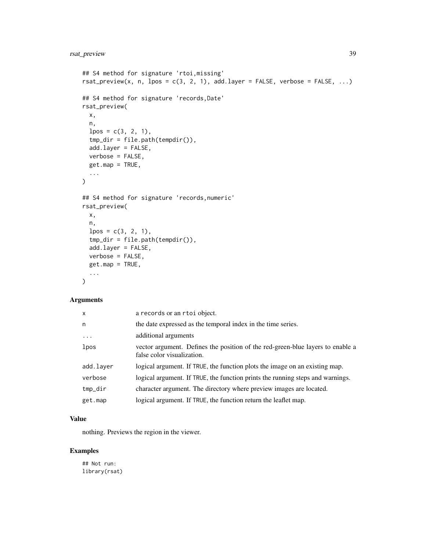```
## S4 method for signature 'rtoi,missing'
rsat_preview(x, n, lpos = c(3, 2, 1), add.layer = FALSE, verbose = FALSE, ...)
## S4 method for signature 'records, Date'
rsat_preview(
 x,
 n,
 lpos = c(3, 2, 1),tmp_dir = file.path(tempdir()),
 add.layer = FALSE,
 verbose = FALSE,
  get.map = TRUE,
  ...
\mathcal{L}## S4 method for signature 'records,numeric'
rsat_preview(
 x,
 n,
 lpos = c(3, 2, 1),tmp_dir = file.path(tempdir()),
  add.layer = FALSE,
 verbose = FALSE,
 getmap = TRUE,...
)
```
### Arguments

| x         | a records or an rtoi object.                                                                                 |
|-----------|--------------------------------------------------------------------------------------------------------------|
| n         | the date expressed as the temporal index in the time series.                                                 |
| $\cdots$  | additional arguments                                                                                         |
| lpos      | vector argument. Defines the position of the red-green-blue layers to enable a<br>false color visualization. |
| add.layer | logical argument. If TRUE, the function plots the image on an existing map.                                  |
| verbose   | logical argument. If TRUE, the function prints the running steps and warnings.                               |
| tmp_dir   | character argument. The directory where preview images are located.                                          |
| get.map   | logical argument. If TRUE, the function return the leaflet map.                                              |

#### Value

nothing. Previews the region in the viewer.

### Examples

## Not run: library(rsat)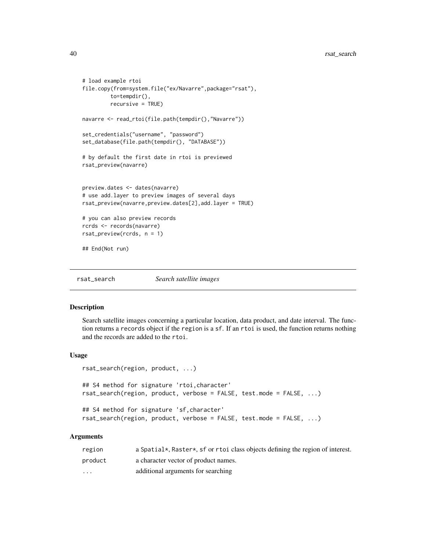```
# load example rtoi
file.copy(from=system.file("ex/Navarre",package="rsat"),
         to=tempdir(),
         recursive = TRUE)
navarre <- read_rtoi(file.path(tempdir(),"Navarre"))
set_credentials("username", "password")
set_database(file.path(tempdir(), "DATABASE"))
# by default the first date in rtoi is previewed
rsat_preview(navarre)
preview.dates <- dates(navarre)
# use add.layer to preview images of several days
rsat_preview(navarre,preview.dates[2],add.layer = TRUE)
# you can also preview records
rcrds <- records(navarre)
rsat_preview(rcrds, n = 1)
## End(Not run)
```
rsat\_search *Search satellite images*

#### Description

Search satellite images concerning a particular location, data product, and date interval. The function returns a records object if the region is a sf. If an rtoi is used, the function returns nothing and the records are added to the rtoi.

### Usage

```
rsat_search(region, product, ...)
## S4 method for signature 'rtoi, character'
rsat_search(region, product, verbose = FALSE, test.mode = FALSE, ...)
## S4 method for signature 'sf,character'
rsat_search(region, product, verbose = FALSE, test.mode = FALSE, ...)
```
#### Arguments

| region   | a Spatial $\star$ , Raster $\star$ , sf or rtoi class objects defining the region of interest. |
|----------|------------------------------------------------------------------------------------------------|
| product  | a character vector of product names.                                                           |
| $\cdots$ | additional arguments for searching                                                             |

<span id="page-39-0"></span>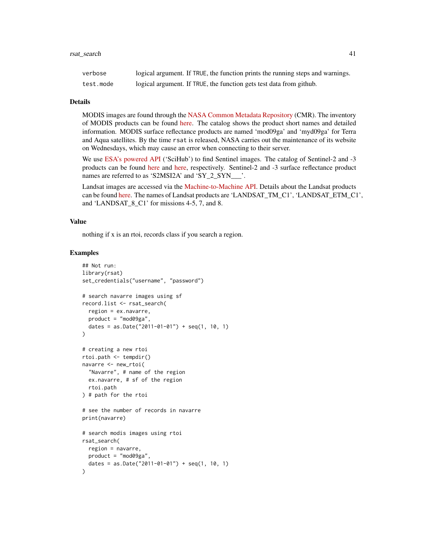#### Details

MODIS images are found through the [NASA Common Metadata Repository](https://lpdaacsvc.cr.usgs.gov/services/inventory) (CMR). The inventory of MODIS products can be found [here.](https://modis.gsfc.nasa.gov/data/dataprod/) The catalog shows the product short names and detailed information. MODIS surface reflectance products are named 'mod09ga' and 'myd09ga' for Terra and Aqua satellites. By the time rsat is released, NASA carries out the maintenance of its website on Wednesdays, which may cause an error when connecting to their server.

We use [ESA's powered API](https://scihub.copernicus.eu/) ('SciHub') to find Sentinel images. The catalog of Sentinel-2 and -3 products can be found [here](https://sentinel.esa.int/web/sentinel/missions/sentinel-2/data-products) and [here,](https://sentinels.copernicus.eu/web/sentinel/missions/sentinel-3/data-products) respectively. Sentinel-2 and -3 surface reflectance product names are referred to as 'S2MSI2A' and 'SY\_2\_SYN\_\_\_'.

Landsat images are accessed via the [Machine-to-Machine API.](https://m2m.cr.usgs.gov/) Details about the Landsat products can be found [here.](https://www.usgs.gov/landsat-missions/product-information) The names of Landsat products are 'LANDSAT\_TM\_C1', 'LANDSAT\_ETM\_C1', and 'LANDSAT\_8\_C1' for missions 4-5, 7, and 8.

#### Value

nothing if x is an rtoi, records class if you search a region.

```
## Not run:
library(rsat)
set_credentials("username", "password")
# search navarre images using sf
record.list <- rsat_search(
  region = ex.navarre,
  product = "mod09ga",
  dates = as.Date("2011-01-01") + seq(1, 10, 1)
)
# creating a new rtoi
rtoi.path <- tempdir()
navarre <- new_rtoi(
  "Navarre", # name of the region
  ex.navarre, # sf of the region
  rtoi.path
) # path for the rtoi
# see the number of records in navarre
print(navarre)
# search modis images using rtoi
rsat_search(
  region = navarre,
  product = "mod09ga",
  dates = as.Date("2011-01-01") + seq(1, 10, 1)
)
```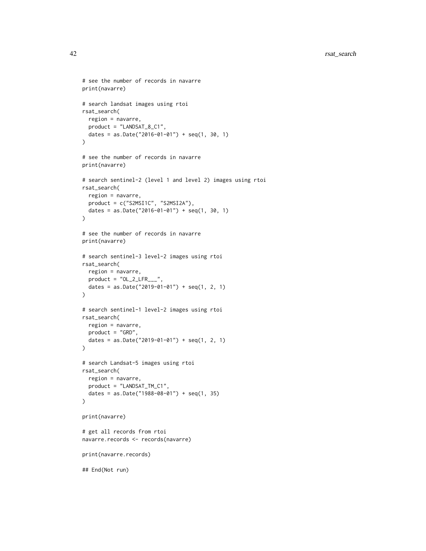```
# see the number of records in navarre
print(navarre)
# search landsat images using rtoi
rsat_search(
 region = navarre,
  product = "LANDSAT_8_C1",
  dates = as.Date("2016-01-01") + seq(1, 30, 1)
\lambda# see the number of records in navarre
print(navarre)
# search sentinel-2 (level 1 and level 2) images using rtoi
rsat_search(
  region = navarre,
  product = c("S2MSI1C", "S2MSI2A"),
  dates = as.Date("2016-01-01") + seq(1, 30, 1)
\lambda# see the number of records in navarre
print(navarre)
# search sentinel-3 level-2 images using rtoi
rsat_search(
  region = navarre,
  product = "OL_2_LFF_1",
  dates = as.Date("2019-01-01") + seq(1, 2, 1)
\mathcal{L}# search sentinel-1 level-2 images using rtoi
rsat_search(
  region = navarre,
  product = "GRD",
  dates = as.Date("2019-01-01") + seq(1, 2, 1)
\lambda# search Landsat-5 images using rtoi
rsat_search(
  region = navarre,
  product = "LANDSAT_TM_C1",
  dates = as.Date("1988-08-01") + seq(1, 35)
)
print(navarre)
# get all records from rtoi
navarre.records <- records(navarre)
print(navarre.records)
## End(Not run)
```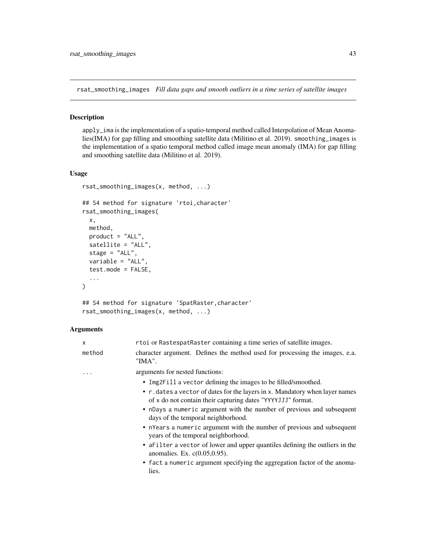<span id="page-42-1"></span><span id="page-42-0"></span>rsat\_smoothing\_images *Fill data gaps and smooth outliers in a time series of satellite images*

#### Description

apply\_ima is the implementation of a spatio-temporal method called Interpolation of Mean Anomalies(IMA) for gap filling and smoothing satellite data (Militino et al. 2019). smoothing\_images is the implementation of a spatio temporal method called image mean anomaly (IMA) for gap filling and smoothing satellite data (Militino et al. 2019).

#### Usage

```
rsat_smoothing_images(x, method, ...)
## S4 method for signature 'rtoi,character'
rsat_smoothing_images(
 x,
 method,
 product = "ALL",satellite = "ALL",
 stage = "ALL",variable = "ALL",
  test.mode = FALSE,
  ...
)
```

```
## S4 method for signature 'SpatRaster,character'
rsat_smoothing_images(x, method, ...)
```
### Arguments

| X      | rtoi or RastespatRaster containing a time series of satellite images.                                                                       |
|--------|---------------------------------------------------------------------------------------------------------------------------------------------|
| method | character argument. Defines the method used for processing the images, e.a.<br>"IMA".                                                       |
| .      | arguments for nested functions:                                                                                                             |
|        | • Img2Fill a vector defining the images to be filled/smoothed.                                                                              |
|        | • r. dates a vector of dates for the layers in x. Mandatory when layer names<br>of x do not contain their capturing dates "YYYYJJJ" format. |
|        | • nDays a numeric argument with the number of previous and subsequent<br>days of the temporal neighborhood.                                 |
|        | • nYears a numeric argument with the number of previous and subsequent<br>years of the temporal neighborhood.                               |
|        | • a Filter a vector of lower and upper quantiles defining the outliers in the<br>anomalies. Ex. $c(0.05, 0.95)$ .                           |
|        | • fact a numeric argument specifying the aggregation factor of the anoma-<br>lies.                                                          |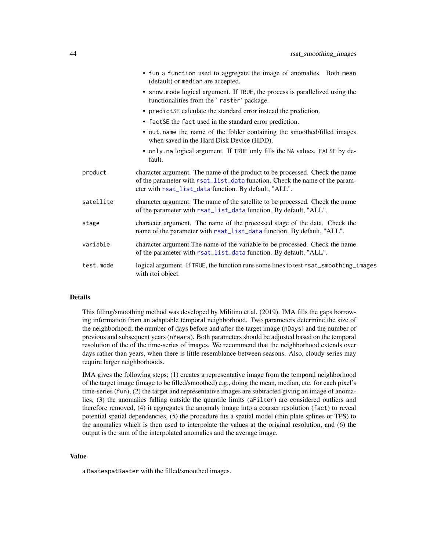<span id="page-43-0"></span>

|           | • fun a function used to aggregate the image of anomalies. Both mean<br>(default) or median are accepted.                                                                                                           |
|-----------|---------------------------------------------------------------------------------------------------------------------------------------------------------------------------------------------------------------------|
|           | • snow mode logical argument. If TRUE, the process is parallelized using the<br>functionalities from the 'raster' package.                                                                                          |
|           | • predictSE calculate the standard error instead the prediction.                                                                                                                                                    |
|           | • factSE the fact used in the standard error prediction.                                                                                                                                                            |
|           | • out .name the name of the folder containing the smoothed/filled images<br>when saved in the Hard Disk Device (HDD).                                                                                               |
|           | • only.na logical argument. If TRUE only fills the NA values. FALSE by de-<br>fault.                                                                                                                                |
| product   | character argument. The name of the product to be processed. Check the name<br>of the parameter with rsat_list_data function. Check the name of the param-<br>eter with rsat_list_data function. By default, "ALL". |
| satellite | character argument. The name of the satellite to be processed. Check the name<br>of the parameter with rsat_list_data function. By default, "ALL".                                                                  |
| stage     | character argument. The name of the processed stage of the data. Check the<br>name of the parameter with rsat_list_data function. By default, "ALL".                                                                |
| variable  | character argument. The name of the variable to be processed. Check the name<br>of the parameter with rsat_list_data function. By default, "ALL".                                                                   |
| test.mode | logical argument. If TRUE, the function runs some lines to test rsat_smoothing_images<br>with rtoi object.                                                                                                          |
|           |                                                                                                                                                                                                                     |

#### Details

This filling/smoothing method was developed by Militino et al. (2019). IMA fills the gaps borrowing information from an adaptable temporal neighborhood. Two parameters determine the size of the neighborhood; the number of days before and after the target image (nDays) and the number of previous and subsequent years (nYears). Both parameters should be adjusted based on the temporal resolution of the of the time-series of images. We recommend that the neighborhood extends over days rather than years, when there is little resemblance between seasons. Also, cloudy series may require larger neighborhoods.

IMA gives the following steps; (1) creates a representative image from the temporal neighborhood of the target image (image to be filled/smoothed) e.g., doing the mean, median, etc. for each pixel's time-series (fun), (2) the target and representative images are subtracted giving an image of anomalies, (3) the anomalies falling outside the quantile limits (aFilter) are considered outliers and therefore removed, (4) it aggregates the anomaly image into a coarser resolution (fact) to reveal potential spatial dependencies, (5) the procedure fits a spatial model (thin plate splines or TPS) to the anomalies which is then used to interpolate the values at the original resolution, and (6) the output is the sum of the interpolated anomalies and the average image.

### Value

a RastespatRaster with the filled/smoothed images.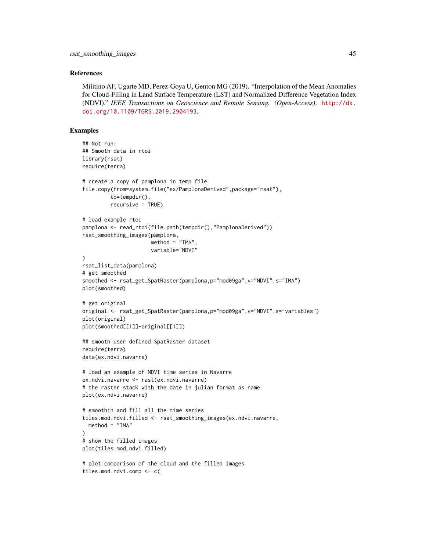#### References

Militino AF, Ugarte MD, Perez-Goya U, Genton MG (2019). "Interpolation of the Mean Anomalies for Cloud-Filling in Land Surface Temperature (LST) and Normalized Difference Vegetation Index (NDVI)." *IEEE Transactions on Geoscience and Remote Sensing. (Open-Access)*. [http://dx.](http://dx.doi.org/10.1109/TGRS.2019.2904193) [doi.org/10.1109/TGRS.2019.2904193](http://dx.doi.org/10.1109/TGRS.2019.2904193).

```
## Not run:
## Smooth data in rtoi
library(rsat)
require(terra)
# create a copy of pamplona in temp file
file.copy(from=system.file("ex/PamplonaDerived",package="rsat"),
         to=tempdir(),
         recursive = TRUE)
# load example rtoi
pamplona <- read_rtoi(file.path(tempdir(),"PamplonaDerived"))
rsat_smoothing_images(pamplona,
                      method = "IMA"variable="NDVI"
\lambdarsat_list_data(pamplona)
# get smoothed
smoothed <- rsat_get_SpatRaster(pamplona,p="mod09ga",v="NDVI",s="IMA")
plot(smoothed)
# get original
original <- rsat_get_SpatRaster(pamplona,p="mod09ga",v="NDVI",s="variables")
plot(original)
plot(smoothed[[1]]-original[[1]])
## smooth user defined SpatRaster dataset
require(terra)
data(ex.ndvi.navarre)
# load an example of NDVI time series in Navarre
ex.ndvi.navarre <- rast(ex.ndvi.navarre)
# the raster stack with the date in julian format as name
plot(ex.ndvi.navarre)
# smoothin and fill all the time series
tiles.mod.ndvi.filled <- rsat_smoothing_images(ex.ndvi.navarre,
  method = "IMA")
# show the filled images
plot(tiles.mod.ndvi.filled)
# plot comparison of the cloud and the filled images
tiles.mod.ndvi.comp <- c(
```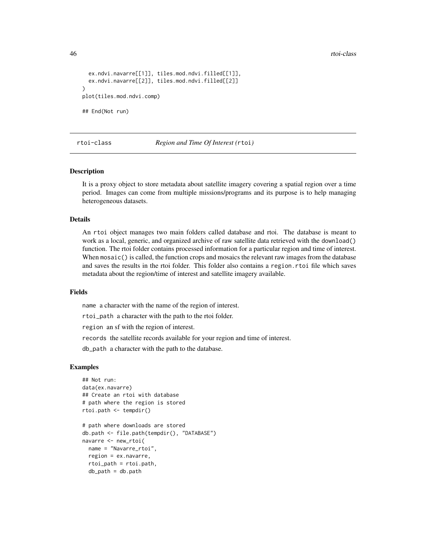46 rtoi-class

```
ex.ndvi.navarre[[1]], tiles.mod.ndvi.filled[[1]],
 ex.ndvi.navarre[[2]], tiles.mod.ndvi.filled[[2]]
)
plot(tiles.mod.ndvi.comp)
## End(Not run)
```
#### rtoi-class *Region and Time Of Interest (*rtoi*)*

### Description

It is a proxy object to store metadata about satellite imagery covering a spatial region over a time period. Images can come from multiple missions/programs and its purpose is to help managing heterogeneous datasets.

### Details

An rtoi object manages two main folders called database and rtoi. The database is meant to work as a local, generic, and organized archive of raw satellite data retrieved with the download() function. The rtoi folder contains processed information for a particular region and time of interest. When mosaic() is called, the function crops and mosaics the relevant raw images from the database and saves the results in the rtoi folder. This folder also contains a region.rtoi file which saves metadata about the region/time of interest and satellite imagery available.

#### Fields

name a character with the name of the region of interest.

rtoi\_path a character with the path to the rtoi folder.

region an sf with the region of interest.

records the satellite records available for your region and time of interest.

db\_path a character with the path to the database.

```
## Not run:
data(ex.navarre)
## Create an rtoi with database
# path where the region is stored
rtoi.path <- tempdir()
# path where downloads are stored
db.path <- file.path(tempdir(), "DATABASE")
navarre <- new_rtoi(
 name = "Navarre_rtoi",
 region = ex.navarre,
 rtoi_path = rtoi.path,
 db<sub>-path</sub> = db.path
```
<span id="page-45-0"></span>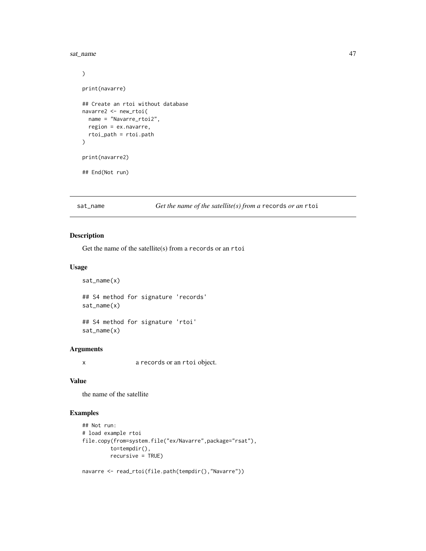<span id="page-46-0"></span>sat\_name 47

```
)
print(navarre)
## Create an rtoi without database
navarre2 <- new_rtoi(
 name = "Navarre_rtoi2",
 region = ex.navarre,
  rtoi_path = rtoi.path
\lambdaprint(navarre2)
## End(Not run)
```
sat\_name *Get the name of the satellite(s) from a* records *or an* rtoi

### Description

Get the name of the satellite(s) from a records or an rtoi

### Usage

sat\_name(x)

## S4 method for signature 'records' sat\_name(x)

## S4 method for signature 'rtoi' sat\_name(x)

#### Arguments

x a records or an rtoi object.

### Value

the name of the satellite

```
## Not run:
# load example rtoi
file.copy(from=system.file("ex/Navarre",package="rsat"),
         to=tempdir(),
        recursive = TRUE)
```

```
navarre <- read_rtoi(file.path(tempdir(),"Navarre"))
```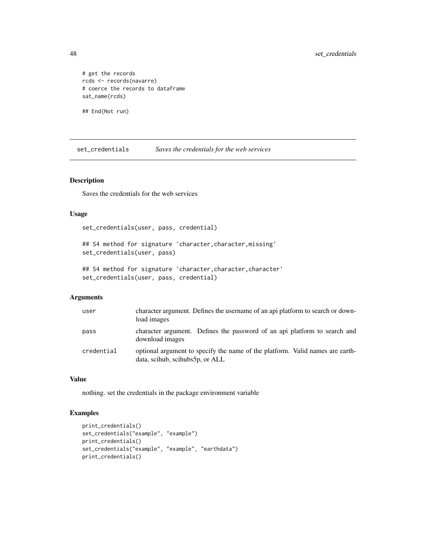# get the records rcds <- records(navarre) # coerce the records to dataframe sat\_name(rcds)

## End(Not run)

set\_credentials *Saves the credentials for the web services*

### Description

Saves the credentials for the web services

### Usage

set\_credentials(user, pass, credential)

## S4 method for signature 'character, character, missing' set\_credentials(user, pass)

## S4 method for signature 'character, character, character' set\_credentials(user, pass, credential)

#### Arguments

| user       | character argument. Defines the username of an api platform to search or down-<br>load images                    |
|------------|------------------------------------------------------------------------------------------------------------------|
| pass       | character argument. Defines the password of an api platform to search and<br>download images                     |
| credential | optional argument to specify the name of the platform. Valid names are earth-<br>data, scihub, scihubs5p, or ALL |

### Value

nothing. set the credentials in the package environment variable

```
print_credentials()
set_credentials("example", "example")
print_credentials()
set_credentials("example", "example", "earthdata")
print_credentials()
```
<span id="page-47-0"></span>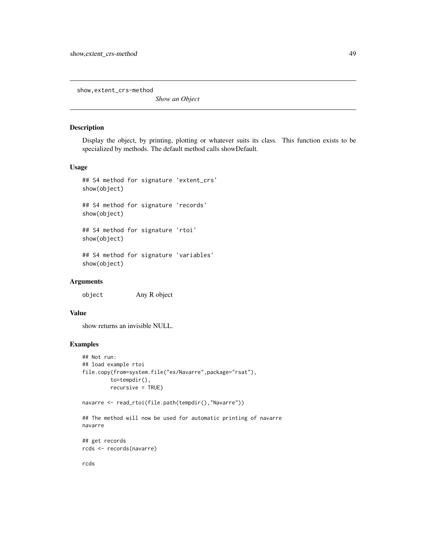<span id="page-48-0"></span>show,extent\_crs-method

*Show an Object*

### Description

Display the object, by printing, plotting or whatever suits its class. This function exists to be specialized by methods. The default method calls showDefault.

#### Usage

```
## S4 method for signature 'extent_crs'
show(object)
## S4 method for signature 'records'
show(object)
## S4 method for signature 'rtoi'
show(object)
## S4 method for signature 'variables'
show(object)
```
#### Arguments

object Any R object

### Value

show returns an invisible NULL.

### Examples

```
## Not run:
## load example rtoi
file.copy(from=system.file("ex/Navarre",package="rsat"),
         to=tempdir(),
         recursive = TRUE)
```

```
navarre <- read_rtoi(file.path(tempdir(),"Navarre"))
```
## The method will now be used for automatic printing of navarre navarre

## get records rcds <- records(navarre)

rcds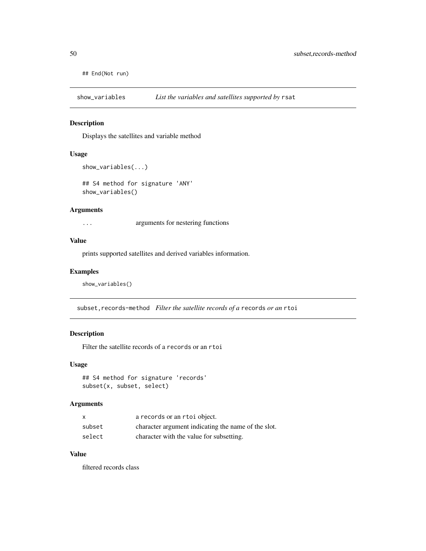<span id="page-49-0"></span>## End(Not run)

show\_variables *List the variables and satellites supported by* rsat

### Description

Displays the satellites and variable method

### Usage

```
show_variables(...)
```
## S4 method for signature 'ANY' show\_variables()

#### Arguments

... arguments for nestering functions

### Value

prints supported satellites and derived variables information.

### Examples

show\_variables()

subset, records-method *Filter the satellite records of a* records *or an* rtoi

### Description

Filter the satellite records of a records or an rtoi

### Usage

```
## S4 method for signature 'records'
subset(x, subset, select)
```
#### Arguments

| x      | a records or an rtoi object.                        |
|--------|-----------------------------------------------------|
| subset | character argument indicating the name of the slot. |
| select | character with the value for subsetting.            |

### Value

filtered records class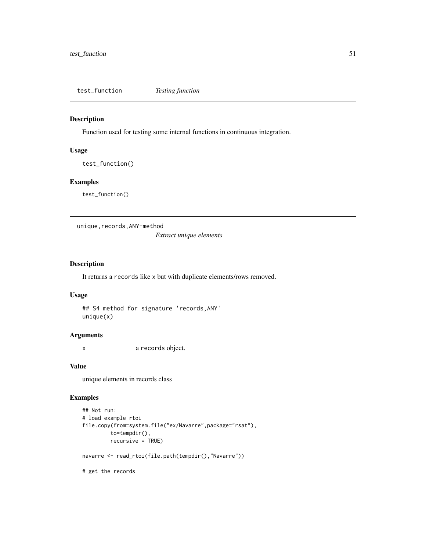<span id="page-50-0"></span>test\_function *Testing function*

### Description

Function used for testing some internal functions in continuous integration.

#### Usage

test\_function()

### Examples

test\_function()

unique, records, ANY-method

*Extract unique elements*

### Description

It returns a records like x but with duplicate elements/rows removed.

### Usage

## S4 method for signature 'records,ANY' unique(x)

### Arguments

x a records object.

### Value

unique elements in records class

### Examples

```
## Not run:
# load example rtoi
file.copy(from=system.file("ex/Navarre",package="rsat"),
         to=tempdir(),
         recursive = TRUE)
navarre <- read_rtoi(file.path(tempdir(),"Navarre"))
```
# get the records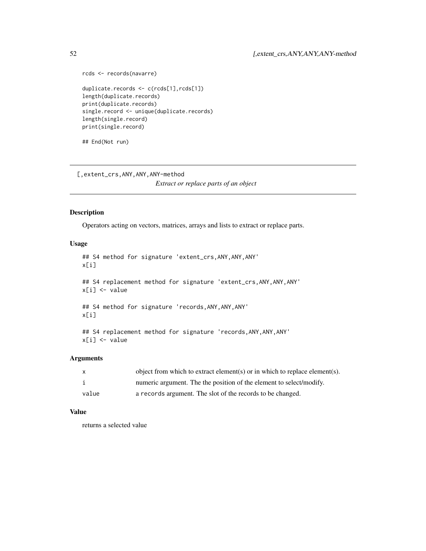```
rcds <- records(navarre)
duplicate.records <- c(rcds[1],rcds[1])
length(duplicate.records)
print(duplicate.records)
single.record <- unique(duplicate.records)
length(single.record)
print(single.record)
```
## End(Not run)

[,extent\_crs,ANY,ANY,ANY-method

*Extract or replace parts of an object*

### Description

Operators acting on vectors, matrices, arrays and lists to extract or replace parts.

### Usage

```
## S4 method for signature 'extent_crs,ANY,ANY,ANY'
x[i]
## S4 replacement method for signature 'extent_crs, ANY, ANY, ANY'
x[i] <- value
## S4 method for signature 'records,ANY,ANY,ANY'
x[i]
## S4 replacement method for signature 'records, ANY, ANY, ANY'
x[i] <- value
```
#### Arguments

|       | object from which to extract element(s) or in which to replace element(s). |
|-------|----------------------------------------------------------------------------|
|       | numeric argument. The the position of the element to select/modify.        |
| value | a records argument. The slot of the records to be changed.                 |

### Value

returns a selected value

<span id="page-51-0"></span>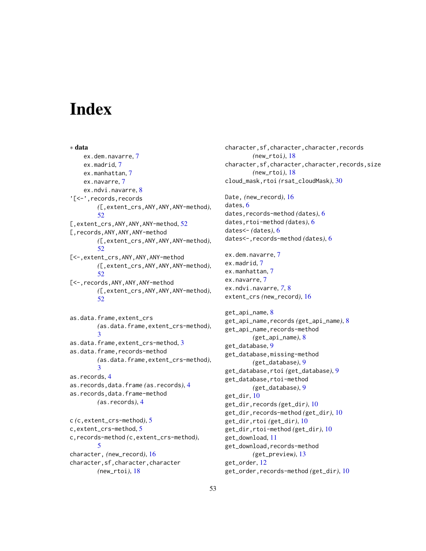# <span id="page-52-0"></span>**Index**

∗ data ex.dem.navarre, [7](#page-6-0) ex.madrid, [7](#page-6-0) ex.manhattan, [7](#page-6-0) ex.navarre, [7](#page-6-0) ex.ndvi.navarre, [8](#page-7-0) '[<-',records,records *(*[,extent\_crs,ANY,ANY,ANY-method*)*, [52](#page-51-0) [,extent\_crs, ANY, ANY, ANY-method, [52](#page-51-0) [,records,ANY,ANY,ANY-method *(*[,extent\_crs,ANY,ANY,ANY-method*)*, [52](#page-51-0) [<-,extent\_crs,ANY,ANY,ANY-method *(*[,extent\_crs,ANY,ANY,ANY-method*)*, [52](#page-51-0) [<-,records,ANY,ANY,ANY-method *(*[,extent\_crs,ANY,ANY,ANY-method*)*, [52](#page-51-0) as.data.frame,extent\_crs *(*as.data.frame,extent\_crs-method*)*,

[3](#page-2-0) as.data.frame,extent\_crs-method, [3](#page-2-0) as.data.frame, records-method *(*as.data.frame,extent\_crs-method*)*, [3](#page-2-0) as.records, [4](#page-3-0) as.records,data.frame *(*as.records*)*, [4](#page-3-0)

as.records,data.frame-method *(*as.records*)*, [4](#page-3-0)

c *(*c,extent\_crs-method*)*, [5](#page-4-0) c,extent\_crs-method, [5](#page-4-0) c,records-method *(*c,extent\_crs-method*)*, [5](#page-4-0) character, *(*new\_record*)*, [16](#page-15-0) character,sf,character,character *(*new\_rtoi*)*, [18](#page-17-0)

character,sf,character,character,records *(*new\_rtoi*)*, [18](#page-17-0) character,sf,character,character,records,size *(*new\_rtoi*)*, [18](#page-17-0) cloud\_mask,rtoi *(*rsat\_cloudMask*)*, [30](#page-29-0) Date, *(*new\_record*)*, [16](#page-15-0) dates, [6](#page-5-0) dates,records-method *(*dates*)*, [6](#page-5-0) dates,rtoi-method *(*dates*)*, [6](#page-5-0) dates<- *(*dates*)*, [6](#page-5-0) dates<-,records-method *(*dates*)*, [6](#page-5-0) ex.dem.navarre, [7](#page-6-0) ex.madrid, [7](#page-6-0) ex.manhattan, [7](#page-6-0) ex.navarre, [7](#page-6-0) ex.ndvi.navarre, *[7](#page-6-0)*, [8](#page-7-0) extent\_crs *(*new\_record*)*, [16](#page-15-0) get\_api\_name, [8](#page-7-0) get\_api\_name,records *(*get\_api\_name*)*, [8](#page-7-0) get\_api\_name,records-method *(*get\_api\_name*)*, [8](#page-7-0) get\_database, [9](#page-8-0) get\_database,missing-method *(*get\_database*)*, [9](#page-8-0) get\_database,rtoi *(*get\_database*)*, [9](#page-8-0) get\_database,rtoi-method *(*get\_database*)*, [9](#page-8-0) get\_dir, [10](#page-9-0) get\_dir,records *(*get\_dir*)*, [10](#page-9-0) get\_dir,records-method *(*get\_dir*)*, [10](#page-9-0) get\_dir,rtoi *(*get\_dir*)*, [10](#page-9-0) get\_dir,rtoi-method *(*get\_dir*)*, [10](#page-9-0) get\_download, [11](#page-10-0) get\_download,records-method *(*get\_preview*)*, [13](#page-12-0) get\_order, [12](#page-11-0) get\_order,records-method *(*get\_dir*)*, [10](#page-9-0)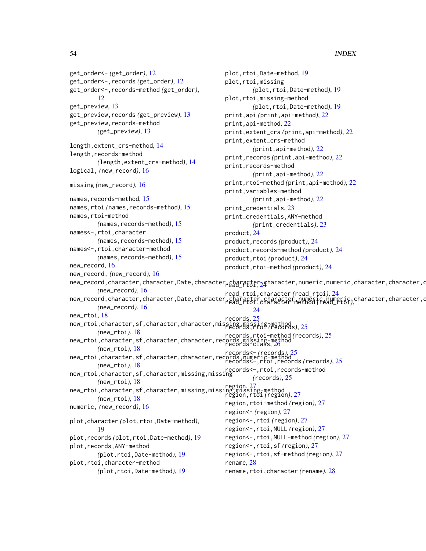```
get_order<- (get_order), 12
get_order<-,records (get_order), 12
get_order<-,records-method (get_order),
         12get_preview, 13
get_preview,records (get_preview), 13
get_preview,records-method
        (get_preview), 13
length,extent_crs-method, 14
length,records-method
        (length,extent_crs-method), 14
logical, (new_record), 16
missing (new_record), 16
15
names,rtoi (names,records-method), 15
names,rtoi-method
        (names,records-method), 15
names<-,rtoi,character
        (names,records-method), 15
names<-,rtoi,character-method
        (names,records-method), 15
new_record, 16
new_record, (new_record), 16
new_record,character,character,Date,character,character,_2character,numeric,numeric,character,character,c<br>- character,character,character,Date,character,_0character,_2character,numeric,numeric,character,character,c
        (new_record), 16
new_record,character,character,Date,character,character,character,numeric,qumeric,character,character,character,<br>read_rtoi\,
        (new_record), 16
new_rtoi, 18
new_rtoi,character,sf,character,character,missing,missing-method
records,rtoi (records), 25
        (new_rtoi), 18
new_rtoi,character,sf,character,character,records,missing-method
records,rtoi-method (records), 25
        (new_rtoi), 18
new_rtoi,character,sf,character,character,records,numeric-method
records<-,rtoi,records (records), 25
        (new_rtoi), 18
new_rtoi,character,sf,character,missing,missing
records<-,rtoi,records-method
        (new_rtoi), 18
new_rtoi,character,sf,character,missing,missing,missing-method
region, 27
        (new_rtoi), 18
numeric, (new_record), 16
plot,character (plot,rtoi,Date-method),
         19
plot,records (plot,rtoi,Date-method), 19
plot,records,ANY-method
        (plot,rtoi,Date-method), 19
plot,rtoi,character-method
        (plot,rtoi,Date-method), 19
                                                 plot,rtoi,Date-method, 19
                                                 plot,rtoi,missing
                                                          (plot,rtoi,Date-method), 19
                                                 plot,rtoi,missing-method
                                                          (plot,rtoi,Date-method), 19
                                                 print,api (print,api-method), 22
                                                 print,api-method, 22
                                                 print,extent_crs (print,api-method), 22
                                                 print,extent_crs-method
                                                          (print,api-method), 22
                                                 print,records (print,api-method), 22
                                                 print,records-method
                                                          (print,api-method), 22
                                                 print,rtoi-method (print,api-method), 22
                                                 print,variables-method
                                                          (print,api-method), 22
                                                 print_credentials, 23
                                                 print_credentials,ANY-method
                                                          (print_credentials), 23
                                                 product, 24
                                                 product, records (product)24
                                                 product,records-method (product), 24
                                                 product,rtoi (product), 24
                                                 product,rtoi-method (product), 24
                                                 read_rtoi,character (read_rtoi), 24
                                                          24
                                                 records, 25
                                                  26
                                                 records<- (records), 25
                                                          (records), 25
                                                  region,rtoi (region), 27
                                                 region,rtoi-method (region), 27
                                                 region<- (region), 27
                                                 region<-,rtoi (region), 27
                                                 region<-,rtoi,NULL (region), 27
                                                 region<-,rtoi,NULL-method (region), 27
                                                 region<-,rtoi,sf (region), 27
                                                 region<-,rtoi,sf-method (region), 27
                                                 rename, 28
                                                 rename,rtoi,character (rename), 28
```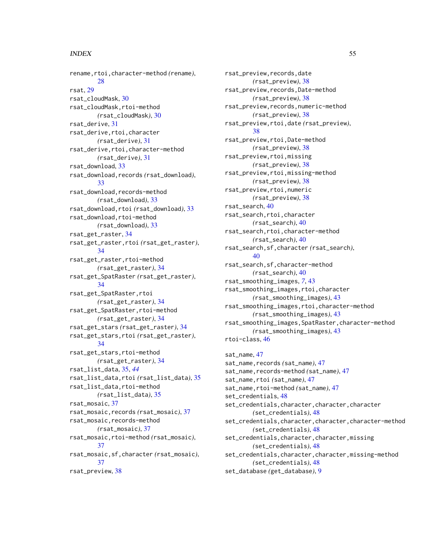#### INDEX 55

rename,rtoi,character-method *(*rename*)*, [28](#page-27-0) rsat, [29](#page-28-0) rsat\_cloudMask, [30](#page-29-0) rsat\_cloudMask,rtoi-method *(*rsat\_cloudMask*)*, [30](#page-29-0) rsat\_derive, [31](#page-30-0) rsat\_derive,rtoi,character *(*rsat\_derive*)*, [31](#page-30-0) rsat\_derive,rtoi,character-method *(*rsat\_derive*)*, [31](#page-30-0) rsat\_download, [33](#page-32-0) rsat\_download,records *(*rsat\_download*)*, [33](#page-32-0) rsat\_download,records-method *(*rsat\_download*)*, [33](#page-32-0) rsat\_download,rtoi *(*rsat\_download*)*, [33](#page-32-0) rsat\_download,rtoi-method *(*rsat\_download*)*, [33](#page-32-0) rsat\_get\_raster, [34](#page-33-0) rsat\_get\_raster,rtoi *(*rsat\_get\_raster*)*, [34](#page-33-0) rsat\_get\_raster,rtoi-method *(*rsat\_get\_raster*)*, [34](#page-33-0) rsat\_get\_SpatRaster *(*rsat\_get\_raster*)*, [34](#page-33-0) rsat\_get\_SpatRaster,rtoi *(*rsat\_get\_raster*)*, [34](#page-33-0) rsat\_get\_SpatRaster,rtoi-method *(*rsat\_get\_raster*)*, [34](#page-33-0) rsat\_get\_stars *(*rsat\_get\_raster*)*, [34](#page-33-0) rsat\_get\_stars,rtoi *(*rsat\_get\_raster*)*, [34](#page-33-0) rsat\_get\_stars,rtoi-method *(*rsat\_get\_raster*)*, [34](#page-33-0) rsat\_list\_data, [35,](#page-34-0) *[44](#page-43-0)* rsat\_list\_data,rtoi *(*rsat\_list\_data*)*, [35](#page-34-0) rsat\_list\_data,rtoi-method *(*rsat\_list\_data*)*, [35](#page-34-0) rsat\_mosaic, [37](#page-36-0) rsat\_mosaic,records *(*rsat\_mosaic*)*, [37](#page-36-0) rsat\_mosaic,records-method *(*rsat\_mosaic*)*, [37](#page-36-0) rsat\_mosaic,rtoi-method *(*rsat\_mosaic*)*, [37](#page-36-0) rsat\_mosaic,sf,character *(*rsat\_mosaic*)*, [37](#page-36-0) rsat\_preview, [38](#page-37-0)

rsat\_preview,records,date *(*rsat\_preview*)*, [38](#page-37-0) rsat\_preview,records,Date-method *(*rsat\_preview*)*, [38](#page-37-0) rsat\_preview,records,numeric-method *(*rsat\_preview*)*, [38](#page-37-0) rsat\_preview,rtoi,date *(*rsat\_preview*)*, [38](#page-37-0) rsat\_preview,rtoi,Date-method *(*rsat\_preview*)*, [38](#page-37-0) rsat\_preview,rtoi,missing *(*rsat\_preview*)*, [38](#page-37-0) rsat\_preview,rtoi,missing-method *(*rsat\_preview*)*, [38](#page-37-0) rsat\_preview,rtoi,numeric *(*rsat\_preview*)*, [38](#page-37-0) rsat\_search, [40](#page-39-0) rsat\_search,rtoi,character *(*rsat\_search*)*, [40](#page-39-0) rsat\_search,rtoi,character-method *(*rsat\_search*)*, [40](#page-39-0) rsat\_search,sf,character *(*rsat\_search*)*, [40](#page-39-0) rsat\_search,sf,character-method *(*rsat\_search*)*, [40](#page-39-0) rsat\_smoothing\_images, *[7](#page-6-0)*, [43](#page-42-0) rsat\_smoothing\_images,rtoi,character *(*rsat\_smoothing\_images*)*, [43](#page-42-0) rsat\_smoothing\_images,rtoi,character-method *(*rsat\_smoothing\_images*)*, [43](#page-42-0) rsat\_smoothing\_images,SpatRaster,character-method *(*rsat\_smoothing\_images*)*, [43](#page-42-0) rtoi-class, [46](#page-45-0) sat\_name, [47](#page-46-0) sat\_name,records *(*sat\_name*)*, [47](#page-46-0) sat\_name,records-method *(*sat\_name*)*, [47](#page-46-0) sat\_name,rtoi *(*sat\_name*)*, [47](#page-46-0) sat\_name,rtoi-method *(*sat\_name*)*, [47](#page-46-0)

set\_credentials, [48](#page-47-0) set\_credentials,character,character,character *(*set\_credentials*)*, [48](#page-47-0) set\_credentials,character,character,character-method *(*set\_credentials*)*, [48](#page-47-0) set\_credentials, character, character, missing *(*set\_credentials*)*, [48](#page-47-0) set\_credentials,character,character,missing-method *(*set\_credentials*)*, [48](#page-47-0)

set\_database *(*get\_database*)*, [9](#page-8-0)